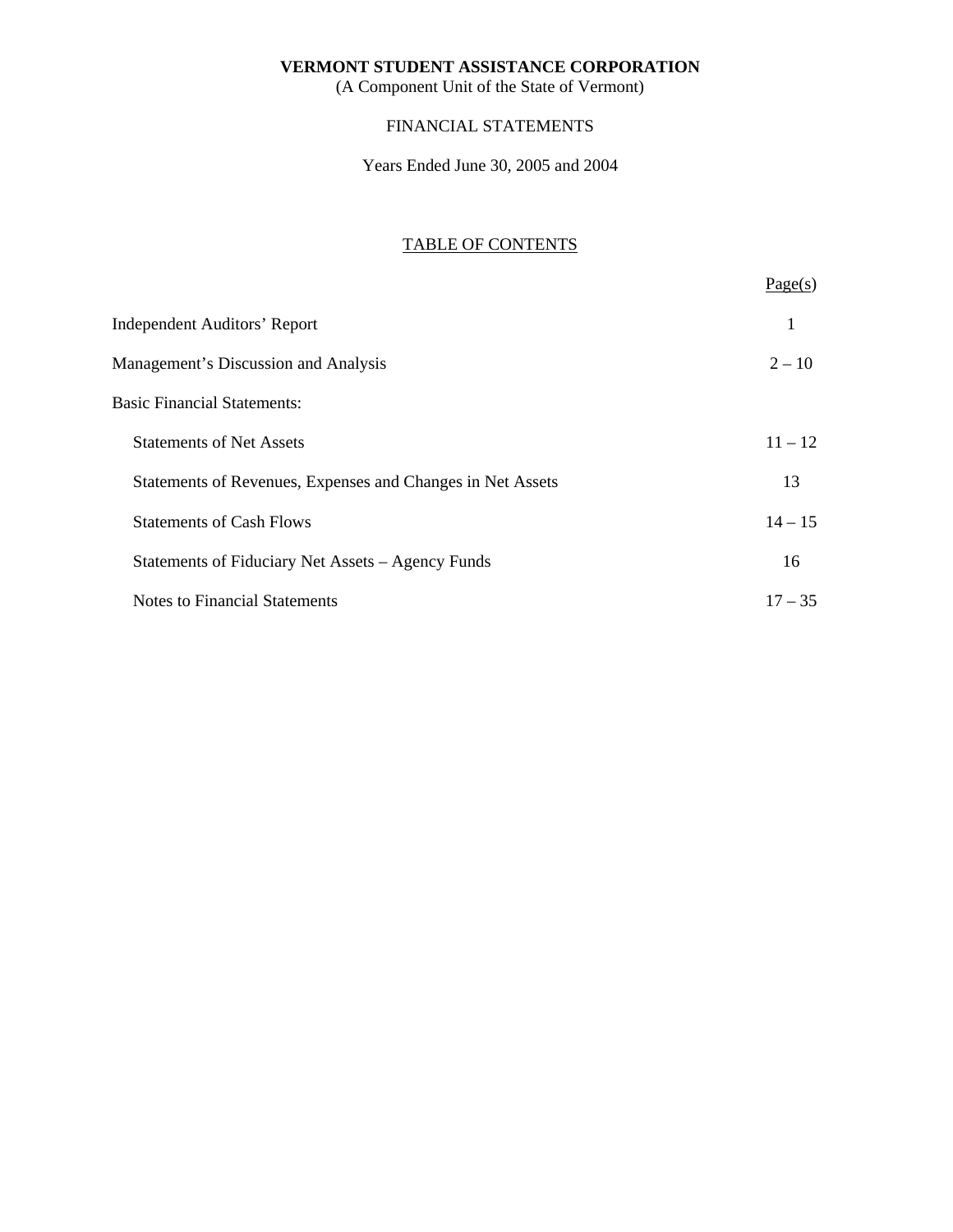(A Component Unit of the State of Vermont)

# FINANCIAL STATEMENTS

Years Ended June 30, 2005 and 2004

# TABLE OF CONTENTS

|                                                            | Page(s)   |
|------------------------------------------------------------|-----------|
| <b>Independent Auditors' Report</b>                        | 1         |
| Management's Discussion and Analysis                       | $2 - 10$  |
| <b>Basic Financial Statements:</b>                         |           |
| <b>Statements of Net Assets</b>                            | $11 - 12$ |
| Statements of Revenues, Expenses and Changes in Net Assets | 13        |
| <b>Statements of Cash Flows</b>                            | $14 - 15$ |
| Statements of Fiduciary Net Assets – Agency Funds          | 16        |
| <b>Notes to Financial Statements</b>                       | $17 - 35$ |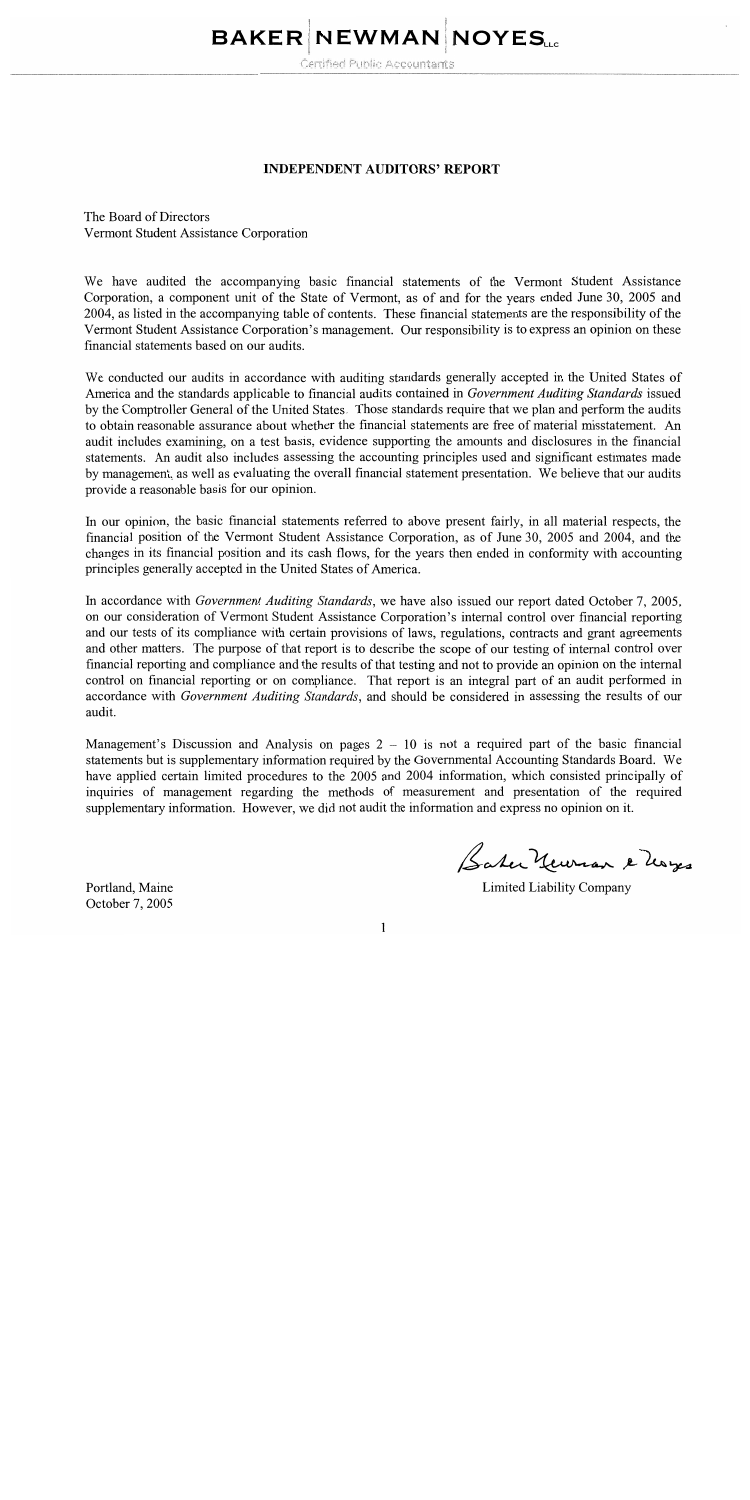# **BAKER NEWMAN NOYES.**

Certified Public Accountants

#### **INDEPENDENT AUDITORS' REPORT**

The Board of Directors Vermont Student Assistance Corporation

We have audited the accompanying basic financial statements of the Vermont Student Assistance Corporation, a component unit of the State of Vermont, as of and for the years ended June 30, 2005 and 2004, as listed in the accompanying table of contents. These financial statements are the responsibility of the Vermont Student Assistance Corporation's management. Our responsibility is to express an opinion on these financial statements based on our audits.

We conducted our audits in accordance with auditing standards generally accepted in the United States of America and the standards applicable to financial audits contained in Government Auditing Standards issued by the Comptroller General of the United States. Those standards require that we plan and perform the audits to obtain reasonable assurance about whether the financial statements are free of material misstatement. An audit includes examining, on a test basis, evidence supporting the amounts and disclosures in the financial statements. An audit also includes assessing the accounting principles used and significant estimates made by management, as well as evaluating the overall financial statement presentation. We believe that our audits provide a reasonable basis for our opinion.

In our opinion, the basic financial statements referred to above present fairly, in all material respects, the financial position of the Vermont Student Assistance Corporation, as of June 30, 2005 and 2004, and the changes in its financial position and its cash flows, for the years then ended in conformity with accounting principles generally accepted in the United States of America.

In accordance with Government Auditing Standards, we have also issued our report dated October 7, 2005, on our consideration of Vermont Student Assistance Corporation's internal control over financial reporting and our tests of its compliance with certain provisions of laws, regulations, contracts and grant agreements and other matters. The purpose of that report is to describe the scope of our testing of internal control over financial reporting and compliance and the results of that testing and not to provide an opinion on the internal control on financial reporting or on compliance. That report is an integral part of an audit performed in accordance with Government Auditing Standards, and should be considered in assessing the results of our audit.

Management's Discussion and Analysis on pages 2 - 10 is not a required part of the basic financial statements but is supplementary information required by the Governmental Accounting Standards Board. We have applied certain limited procedures to the 2005 and 2004 information, which consisted principally of inquiries of management regarding the methods of measurement and presentation of the required supplementary information. However, we did not audit the information and express no opinion on it.

Portland, Maine October 7, 2005

Satu Yeuran e Mayes

Limited Liability Company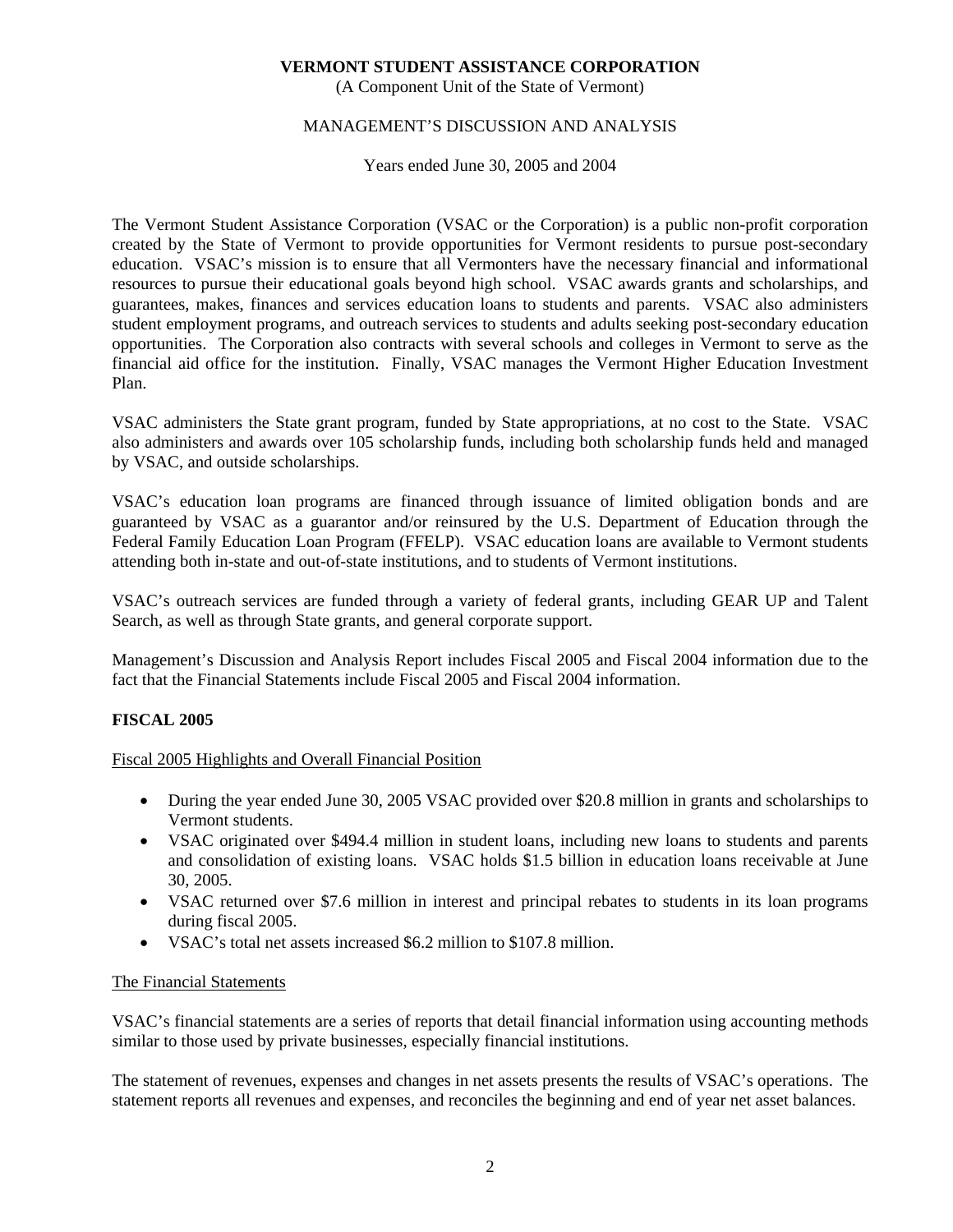(A Component Unit of the State of Vermont)

# MANAGEMENT'S DISCUSSION AND ANALYSIS

Years ended June 30, 2005 and 2004

The Vermont Student Assistance Corporation (VSAC or the Corporation) is a public non-profit corporation created by the State of Vermont to provide opportunities for Vermont residents to pursue post-secondary education. VSAC's mission is to ensure that all Vermonters have the necessary financial and informational resources to pursue their educational goals beyond high school. VSAC awards grants and scholarships, and guarantees, makes, finances and services education loans to students and parents. VSAC also administers student employment programs, and outreach services to students and adults seeking post-secondary education opportunities. The Corporation also contracts with several schools and colleges in Vermont to serve as the financial aid office for the institution. Finally, VSAC manages the Vermont Higher Education Investment Plan.

VSAC administers the State grant program, funded by State appropriations, at no cost to the State. VSAC also administers and awards over 105 scholarship funds, including both scholarship funds held and managed by VSAC, and outside scholarships.

VSAC's education loan programs are financed through issuance of limited obligation bonds and are guaranteed by VSAC as a guarantor and/or reinsured by the U.S. Department of Education through the Federal Family Education Loan Program (FFELP). VSAC education loans are available to Vermont students attending both in-state and out-of-state institutions, and to students of Vermont institutions.

VSAC's outreach services are funded through a variety of federal grants, including GEAR UP and Talent Search, as well as through State grants, and general corporate support.

Management's Discussion and Analysis Report includes Fiscal 2005 and Fiscal 2004 information due to the fact that the Financial Statements include Fiscal 2005 and Fiscal 2004 information.

# **FISCAL 2005**

# Fiscal 2005 Highlights and Overall Financial Position

- During the year ended June 30, 2005 VSAC provided over \$20.8 million in grants and scholarships to Vermont students.
- VSAC originated over \$494.4 million in student loans, including new loans to students and parents and consolidation of existing loans. VSAC holds \$1.5 billion in education loans receivable at June 30, 2005.
- VSAC returned over \$7.6 million in interest and principal rebates to students in its loan programs during fiscal 2005.
- VSAC's total net assets increased \$6.2 million to \$107.8 million.

#### The Financial Statements

VSAC's financial statements are a series of reports that detail financial information using accounting methods similar to those used by private businesses, especially financial institutions.

The statement of revenues, expenses and changes in net assets presents the results of VSAC's operations. The statement reports all revenues and expenses, and reconciles the beginning and end of year net asset balances.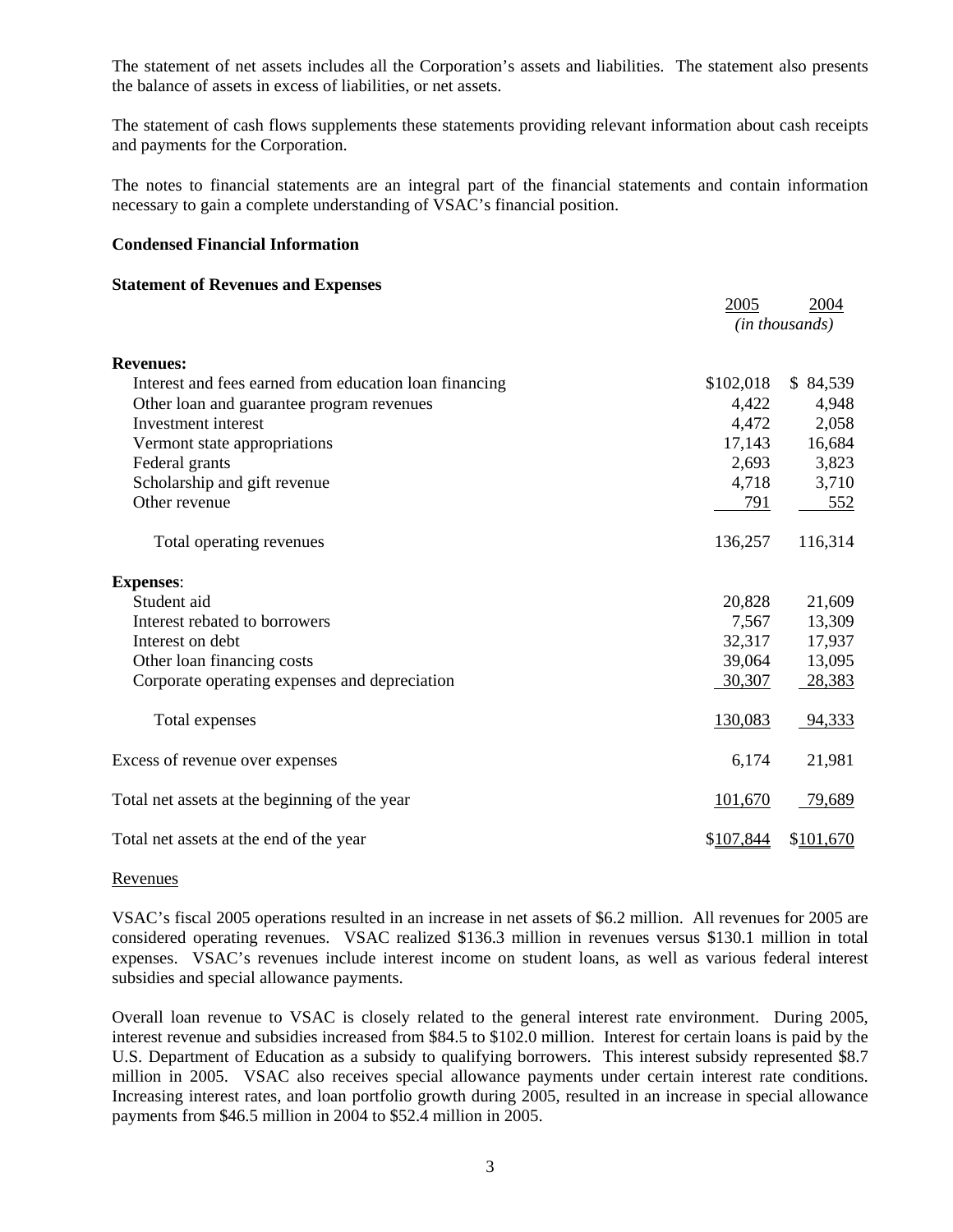The statement of net assets includes all the Corporation's assets and liabilities. The statement also presents the balance of assets in excess of liabilities, or net assets.

The statement of cash flows supplements these statements providing relevant information about cash receipts and payments for the Corporation.

The notes to financial statements are an integral part of the financial statements and contain information necessary to gain a complete understanding of VSAC's financial position.

2005 2004

#### **Condensed Financial Information**

#### **Statement of Revenues and Expenses**

|                                                        | 2005      | 2004           |
|--------------------------------------------------------|-----------|----------------|
|                                                        |           | (in thousands) |
| <b>Revenues:</b>                                       |           |                |
| Interest and fees earned from education loan financing | \$102,018 | \$84,539       |
| Other loan and guarantee program revenues              | 4,422     | 4,948          |
| Investment interest                                    | 4,472     | 2,058          |
| Vermont state appropriations                           | 17,143    | 16,684         |
| Federal grants                                         | 2,693     | 3,823          |
| Scholarship and gift revenue                           | 4,718     | 3,710          |
| Other revenue                                          | 791       | 552            |
| Total operating revenues                               | 136,257   | 116,314        |
| <b>Expenses:</b>                                       |           |                |
| Student aid                                            | 20,828    | 21,609         |
| Interest rebated to borrowers                          | 7,567     | 13,309         |
| Interest on debt                                       | 32,317    | 17,937         |
| Other loan financing costs                             | 39,064    | 13,095         |
| Corporate operating expenses and depreciation          | 30,307    | 28,383         |
| Total expenses                                         | 130,083   | 94,333         |
| Excess of revenue over expenses                        | 6,174     | 21,981         |
| Total net assets at the beginning of the year          | 101,670   | 79,689         |
| Total net assets at the end of the year                | \$107,844 | \$101,670      |

#### Revenues

VSAC's fiscal 2005 operations resulted in an increase in net assets of \$6.2 million. All revenues for 2005 are considered operating revenues. VSAC realized \$136.3 million in revenues versus \$130.1 million in total expenses. VSAC's revenues include interest income on student loans, as well as various federal interest subsidies and special allowance payments.

Overall loan revenue to VSAC is closely related to the general interest rate environment. During 2005, interest revenue and subsidies increased from \$84.5 to \$102.0 million. Interest for certain loans is paid by the U.S. Department of Education as a subsidy to qualifying borrowers. This interest subsidy represented \$8.7 million in 2005. VSAC also receives special allowance payments under certain interest rate conditions. Increasing interest rates, and loan portfolio growth during 2005, resulted in an increase in special allowance payments from \$46.5 million in 2004 to \$52.4 million in 2005.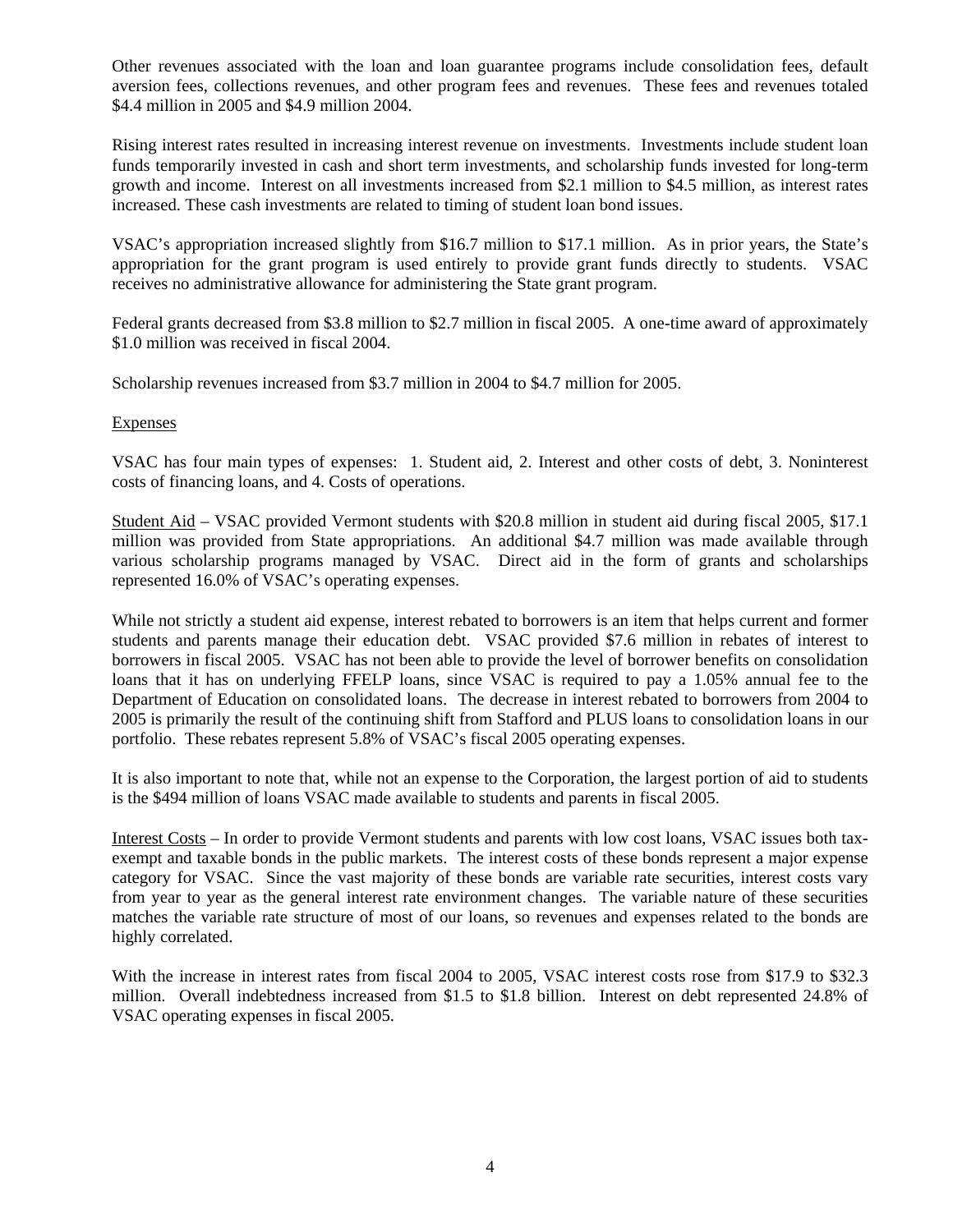Other revenues associated with the loan and loan guarantee programs include consolidation fees, default aversion fees, collections revenues, and other program fees and revenues. These fees and revenues totaled \$4.4 million in 2005 and \$4.9 million 2004.

Rising interest rates resulted in increasing interest revenue on investments. Investments include student loan funds temporarily invested in cash and short term investments, and scholarship funds invested for long-term growth and income. Interest on all investments increased from \$2.1 million to \$4.5 million, as interest rates increased. These cash investments are related to timing of student loan bond issues.

VSAC's appropriation increased slightly from \$16.7 million to \$17.1 million. As in prior years, the State's appropriation for the grant program is used entirely to provide grant funds directly to students. VSAC receives no administrative allowance for administering the State grant program.

Federal grants decreased from \$3.8 million to \$2.7 million in fiscal 2005. A one-time award of approximately \$1.0 million was received in fiscal 2004.

Scholarship revenues increased from \$3.7 million in 2004 to \$4.7 million for 2005.

# **Expenses**

VSAC has four main types of expenses: 1. Student aid, 2. Interest and other costs of debt, 3. Noninterest costs of financing loans, and 4. Costs of operations.

Student Aid – VSAC provided Vermont students with \$20.8 million in student aid during fiscal 2005, \$17.1 million was provided from State appropriations. An additional \$4.7 million was made available through various scholarship programs managed by VSAC. Direct aid in the form of grants and scholarships represented 16.0% of VSAC's operating expenses.

While not strictly a student aid expense, interest rebated to borrowers is an item that helps current and former students and parents manage their education debt. VSAC provided \$7.6 million in rebates of interest to borrowers in fiscal 2005. VSAC has not been able to provide the level of borrower benefits on consolidation loans that it has on underlying FFELP loans, since VSAC is required to pay a 1.05% annual fee to the Department of Education on consolidated loans. The decrease in interest rebated to borrowers from 2004 to 2005 is primarily the result of the continuing shift from Stafford and PLUS loans to consolidation loans in our portfolio. These rebates represent 5.8% of VSAC's fiscal 2005 operating expenses.

It is also important to note that, while not an expense to the Corporation, the largest portion of aid to students is the \$494 million of loans VSAC made available to students and parents in fiscal 2005.

Interest Costs – In order to provide Vermont students and parents with low cost loans, VSAC issues both taxexempt and taxable bonds in the public markets. The interest costs of these bonds represent a major expense category for VSAC. Since the vast majority of these bonds are variable rate securities, interest costs vary from year to year as the general interest rate environment changes. The variable nature of these securities matches the variable rate structure of most of our loans, so revenues and expenses related to the bonds are highly correlated.

With the increase in interest rates from fiscal 2004 to 2005, VSAC interest costs rose from \$17.9 to \$32.3 million. Overall indebtedness increased from \$1.5 to \$1.8 billion. Interest on debt represented 24.8% of VSAC operating expenses in fiscal 2005.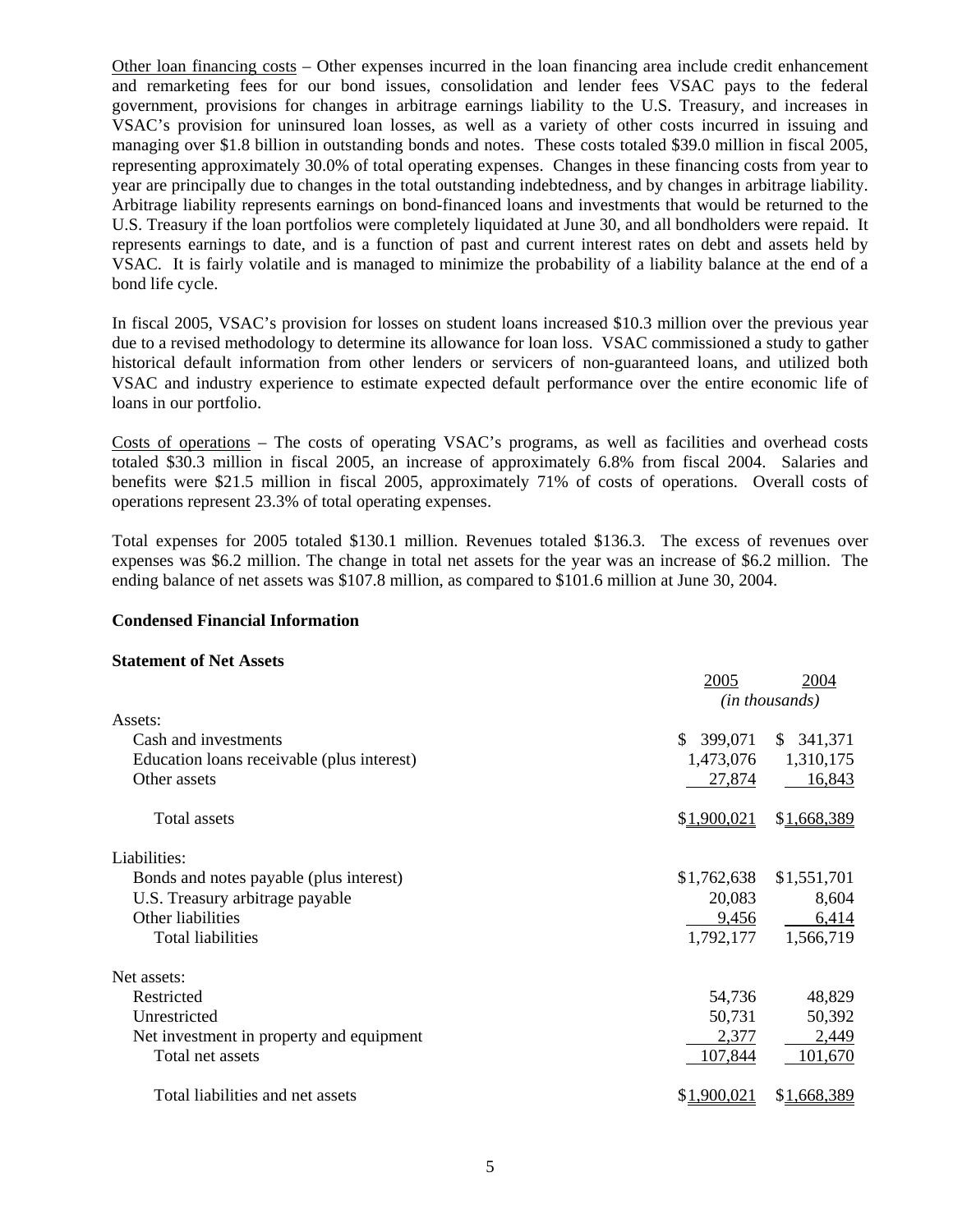Other loan financing costs – Other expenses incurred in the loan financing area include credit enhancement and remarketing fees for our bond issues, consolidation and lender fees VSAC pays to the federal government, provisions for changes in arbitrage earnings liability to the U.S. Treasury, and increases in VSAC's provision for uninsured loan losses, as well as a variety of other costs incurred in issuing and managing over \$1.8 billion in outstanding bonds and notes. These costs totaled \$39.0 million in fiscal 2005, representing approximately 30.0% of total operating expenses. Changes in these financing costs from year to year are principally due to changes in the total outstanding indebtedness, and by changes in arbitrage liability. Arbitrage liability represents earnings on bond-financed loans and investments that would be returned to the U.S. Treasury if the loan portfolios were completely liquidated at June 30, and all bondholders were repaid. It represents earnings to date, and is a function of past and current interest rates on debt and assets held by VSAC. It is fairly volatile and is managed to minimize the probability of a liability balance at the end of a bond life cycle.

In fiscal 2005, VSAC's provision for losses on student loans increased \$10.3 million over the previous year due to a revised methodology to determine its allowance for loan loss. VSAC commissioned a study to gather historical default information from other lenders or servicers of non-guaranteed loans, and utilized both VSAC and industry experience to estimate expected default performance over the entire economic life of loans in our portfolio.

Costs of operations – The costs of operating VSAC's programs, as well as facilities and overhead costs totaled \$30.3 million in fiscal 2005, an increase of approximately 6.8% from fiscal 2004. Salaries and benefits were \$21.5 million in fiscal 2005, approximately 71% of costs of operations. Overall costs of operations represent 23.3% of total operating expenses.

Total expenses for 2005 totaled \$130.1 million. Revenues totaled \$136.3. The excess of revenues over expenses was \$6.2 million. The change in total net assets for the year was an increase of \$6.2 million. The ending balance of net assets was \$107.8 million, as compared to \$101.6 million at June 30, 2004.

#### **Condensed Financial Information**

#### **Statement of Net Assets**

|                                            | 2005        | 2004           |
|--------------------------------------------|-------------|----------------|
|                                            |             | (in thousands) |
| Assets:                                    |             |                |
| Cash and investments                       | \$399,071   | \$341,371      |
| Education loans receivable (plus interest) | 1,473,076   | 1,310,175      |
| Other assets                               | 27,874      | 16,843         |
| Total assets                               | \$1,900,021 | \$1,668,389    |
| Liabilities:                               |             |                |
| Bonds and notes payable (plus interest)    | \$1,762,638 | \$1,551,701    |
| U.S. Treasury arbitrage payable            | 20,083      | 8,604          |
| Other liabilities                          | 9,456       | 6,414          |
| <b>Total liabilities</b>                   | 1,792,177   | 1,566,719      |
| Net assets:                                |             |                |
| Restricted                                 | 54,736      | 48,829         |
| Unrestricted                               | 50,731      | 50,392         |
| Net investment in property and equipment   | 2,377       | 2,449          |
| Total net assets                           | 107,844     | 101,670        |
| Total liabilities and net assets           | \$1,900,021 | \$1,668,389    |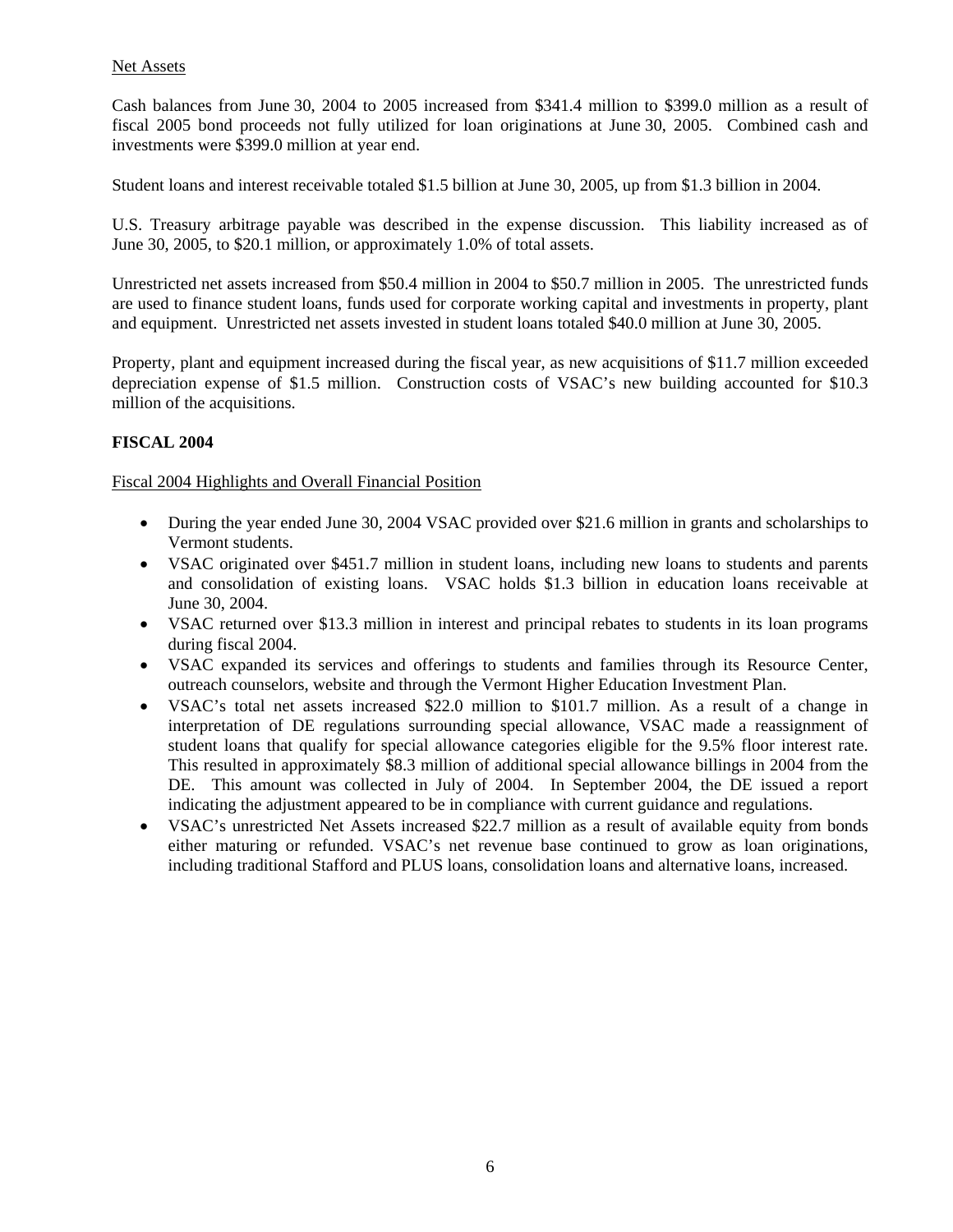# Net Assets

Cash balances from June 30, 2004 to 2005 increased from \$341.4 million to \$399.0 million as a result of fiscal 2005 bond proceeds not fully utilized for loan originations at June 30, 2005. Combined cash and investments were \$399.0 million at year end.

Student loans and interest receivable totaled \$1.5 billion at June 30, 2005, up from \$1.3 billion in 2004.

U.S. Treasury arbitrage payable was described in the expense discussion. This liability increased as of June 30, 2005, to \$20.1 million, or approximately 1.0% of total assets.

Unrestricted net assets increased from \$50.4 million in 2004 to \$50.7 million in 2005. The unrestricted funds are used to finance student loans, funds used for corporate working capital and investments in property, plant and equipment. Unrestricted net assets invested in student loans totaled \$40.0 million at June 30, 2005.

Property, plant and equipment increased during the fiscal year, as new acquisitions of \$11.7 million exceeded depreciation expense of \$1.5 million. Construction costs of VSAC's new building accounted for \$10.3 million of the acquisitions.

# **FISCAL 2004**

# Fiscal 2004 Highlights and Overall Financial Position

- During the year ended June 30, 2004 VSAC provided over \$21.6 million in grants and scholarships to Vermont students.
- VSAC originated over \$451.7 million in student loans, including new loans to students and parents and consolidation of existing loans. VSAC holds \$1.3 billion in education loans receivable at June 30, 2004.
- VSAC returned over \$13.3 million in interest and principal rebates to students in its loan programs during fiscal 2004.
- VSAC expanded its services and offerings to students and families through its Resource Center, outreach counselors, website and through the Vermont Higher Education Investment Plan.
- VSAC's total net assets increased \$22.0 million to \$101.7 million. As a result of a change in interpretation of DE regulations surrounding special allowance, VSAC made a reassignment of student loans that qualify for special allowance categories eligible for the 9.5% floor interest rate. This resulted in approximately \$8.3 million of additional special allowance billings in 2004 from the DE. This amount was collected in July of 2004. In September 2004, the DE issued a report indicating the adjustment appeared to be in compliance with current guidance and regulations.
- VSAC's unrestricted Net Assets increased \$22.7 million as a result of available equity from bonds either maturing or refunded. VSAC's net revenue base continued to grow as loan originations, including traditional Stafford and PLUS loans, consolidation loans and alternative loans, increased.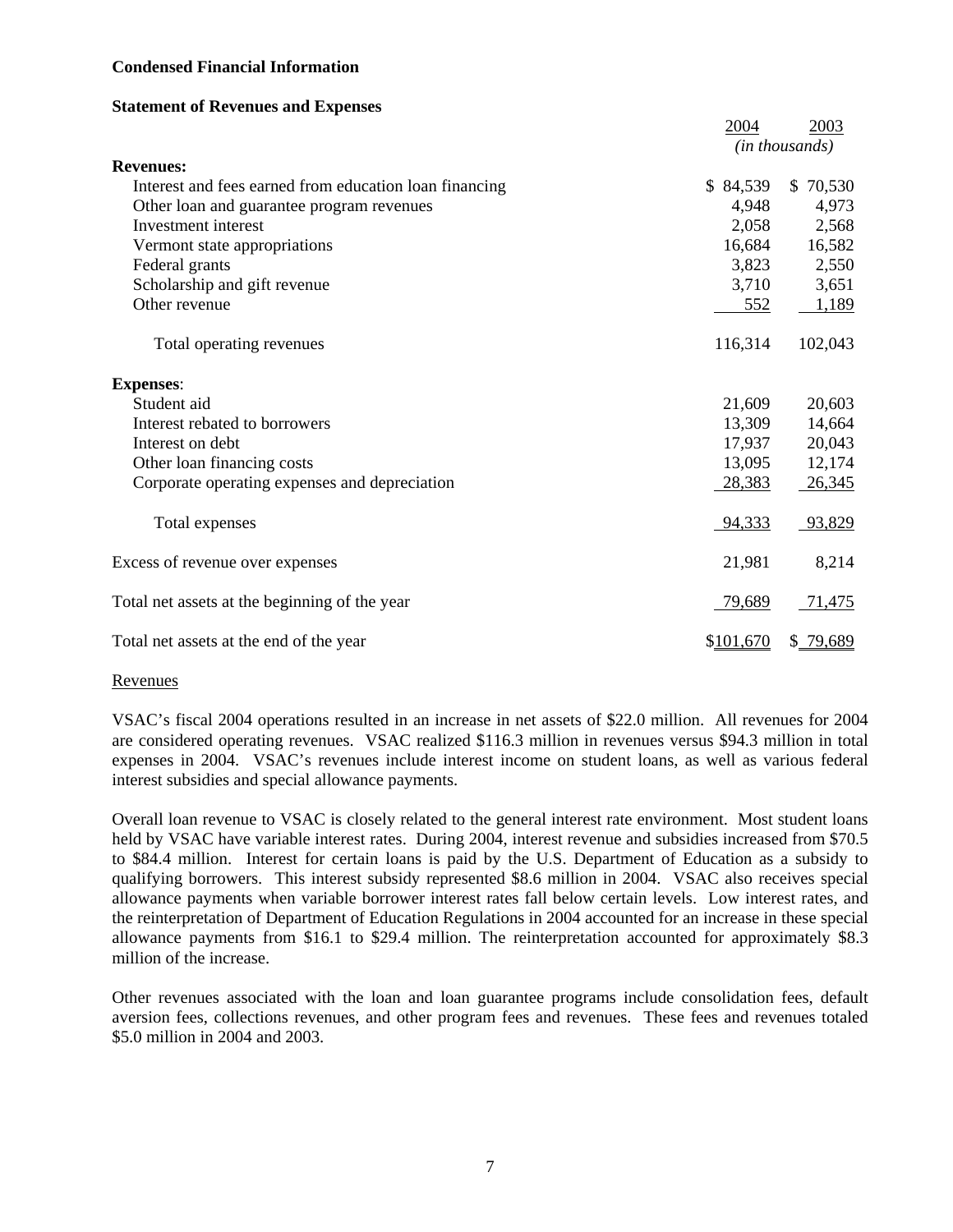# **Condensed Financial Information**

#### **Statement of Revenues and Expenses**

|                                                        | 2004      | 2003           |
|--------------------------------------------------------|-----------|----------------|
|                                                        |           | (in thousands) |
| <b>Revenues:</b>                                       |           |                |
| Interest and fees earned from education loan financing | \$84,539  | \$70,530       |
| Other loan and guarantee program revenues              | 4,948     | 4,973          |
| Investment interest                                    | 2,058     | 2,568          |
| Vermont state appropriations                           | 16,684    | 16,582         |
| Federal grants                                         | 3,823     | 2,550          |
| Scholarship and gift revenue                           | 3,710     | 3,651          |
| Other revenue                                          | 552       | 1,189          |
| Total operating revenues                               | 116,314   | 102,043        |
| <b>Expenses:</b>                                       |           |                |
| Student aid                                            | 21,609    | 20,603         |
| Interest rebated to borrowers                          | 13,309    | 14,664         |
| Interest on debt                                       | 17,937    | 20,043         |
| Other loan financing costs                             | 13,095    | 12,174         |
| Corporate operating expenses and depreciation          | 28,383    | 26,345         |
| Total expenses                                         | 94,333    | 93,829         |
| Excess of revenue over expenses                        | 21,981    | 8,214          |
| Total net assets at the beginning of the year          | 79,689    | 71,475         |
| Total net assets at the end of the year                | \$101,670 | \$79,689       |

#### Revenues

VSAC's fiscal 2004 operations resulted in an increase in net assets of \$22.0 million. All revenues for 2004 are considered operating revenues. VSAC realized \$116.3 million in revenues versus \$94.3 million in total expenses in 2004. VSAC's revenues include interest income on student loans, as well as various federal interest subsidies and special allowance payments.

Overall loan revenue to VSAC is closely related to the general interest rate environment. Most student loans held by VSAC have variable interest rates. During 2004, interest revenue and subsidies increased from \$70.5 to \$84.4 million. Interest for certain loans is paid by the U.S. Department of Education as a subsidy to qualifying borrowers. This interest subsidy represented \$8.6 million in 2004. VSAC also receives special allowance payments when variable borrower interest rates fall below certain levels. Low interest rates, and the reinterpretation of Department of Education Regulations in 2004 accounted for an increase in these special allowance payments from \$16.1 to \$29.4 million. The reinterpretation accounted for approximately \$8.3 million of the increase.

Other revenues associated with the loan and loan guarantee programs include consolidation fees, default aversion fees, collections revenues, and other program fees and revenues. These fees and revenues totaled \$5.0 million in 2004 and 2003.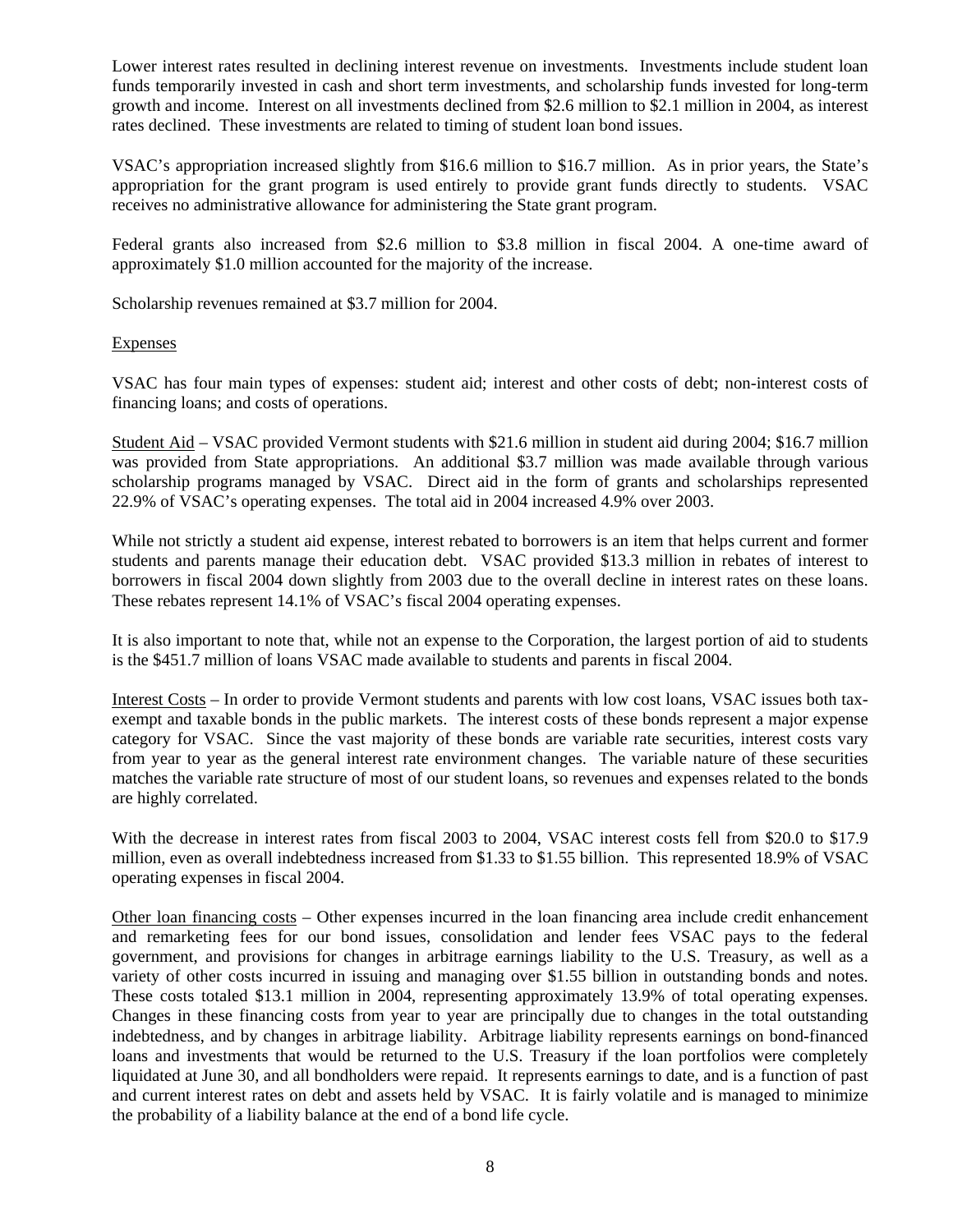Lower interest rates resulted in declining interest revenue on investments. Investments include student loan funds temporarily invested in cash and short term investments, and scholarship funds invested for long-term growth and income. Interest on all investments declined from \$2.6 million to \$2.1 million in 2004, as interest rates declined. These investments are related to timing of student loan bond issues.

VSAC's appropriation increased slightly from \$16.6 million to \$16.7 million. As in prior years, the State's appropriation for the grant program is used entirely to provide grant funds directly to students. VSAC receives no administrative allowance for administering the State grant program.

Federal grants also increased from \$2.6 million to \$3.8 million in fiscal 2004. A one-time award of approximately \$1.0 million accounted for the majority of the increase.

Scholarship revenues remained at \$3.7 million for 2004.

# Expenses

VSAC has four main types of expenses: student aid; interest and other costs of debt; non-interest costs of financing loans; and costs of operations.

Student Aid – VSAC provided Vermont students with \$21.6 million in student aid during 2004; \$16.7 million was provided from State appropriations. An additional \$3.7 million was made available through various scholarship programs managed by VSAC. Direct aid in the form of grants and scholarships represented 22.9% of VSAC's operating expenses. The total aid in 2004 increased 4.9% over 2003.

While not strictly a student aid expense, interest rebated to borrowers is an item that helps current and former students and parents manage their education debt. VSAC provided \$13.3 million in rebates of interest to borrowers in fiscal 2004 down slightly from 2003 due to the overall decline in interest rates on these loans. These rebates represent 14.1% of VSAC's fiscal 2004 operating expenses.

It is also important to note that, while not an expense to the Corporation, the largest portion of aid to students is the \$451.7 million of loans VSAC made available to students and parents in fiscal 2004.

Interest Costs – In order to provide Vermont students and parents with low cost loans, VSAC issues both taxexempt and taxable bonds in the public markets. The interest costs of these bonds represent a major expense category for VSAC. Since the vast majority of these bonds are variable rate securities, interest costs vary from year to year as the general interest rate environment changes. The variable nature of these securities matches the variable rate structure of most of our student loans, so revenues and expenses related to the bonds are highly correlated.

With the decrease in interest rates from fiscal 2003 to 2004, VSAC interest costs fell from \$20.0 to \$17.9 million, even as overall indebtedness increased from \$1.33 to \$1.55 billion. This represented 18.9% of VSAC operating expenses in fiscal 2004.

Other loan financing costs – Other expenses incurred in the loan financing area include credit enhancement and remarketing fees for our bond issues, consolidation and lender fees VSAC pays to the federal government, and provisions for changes in arbitrage earnings liability to the U.S. Treasury, as well as a variety of other costs incurred in issuing and managing over \$1.55 billion in outstanding bonds and notes. These costs totaled \$13.1 million in 2004, representing approximately 13.9% of total operating expenses. Changes in these financing costs from year to year are principally due to changes in the total outstanding indebtedness, and by changes in arbitrage liability. Arbitrage liability represents earnings on bond-financed loans and investments that would be returned to the U.S. Treasury if the loan portfolios were completely liquidated at June 30, and all bondholders were repaid. It represents earnings to date, and is a function of past and current interest rates on debt and assets held by VSAC. It is fairly volatile and is managed to minimize the probability of a liability balance at the end of a bond life cycle.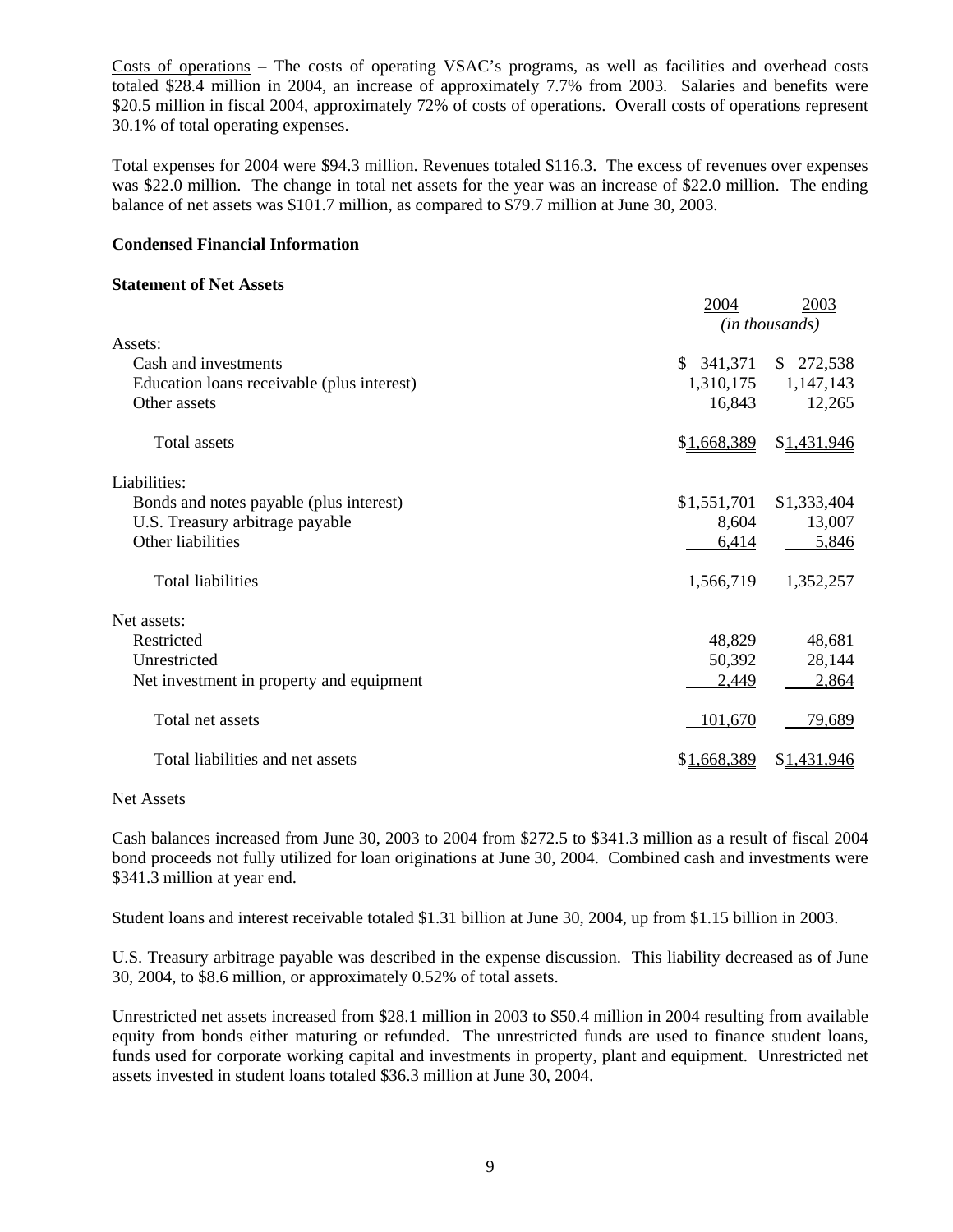Costs of operations – The costs of operating VSAC's programs, as well as facilities and overhead costs totaled \$28.4 million in 2004, an increase of approximately 7.7% from 2003. Salaries and benefits were \$20.5 million in fiscal 2004, approximately 72% of costs of operations. Overall costs of operations represent 30.1% of total operating expenses.

Total expenses for 2004 were \$94.3 million. Revenues totaled \$116.3. The excess of revenues over expenses was \$22.0 million. The change in total net assets for the year was an increase of \$22.0 million. The ending balance of net assets was \$101.7 million, as compared to \$79.7 million at June 30, 2003.

# **Condensed Financial Information**

# **Statement of Net Assets**

|                                            | 2004        | 2003           |  |
|--------------------------------------------|-------------|----------------|--|
|                                            |             | (in thousands) |  |
| Assets:                                    |             |                |  |
| Cash and investments                       | \$341,371   | \$272,538      |  |
| Education loans receivable (plus interest) | 1,310,175   | 1,147,143      |  |
| Other assets                               | 16,843      | 12,265         |  |
| <b>Total assets</b>                        | \$1,668,389 | \$1,431,946    |  |
| Liabilities:                               |             |                |  |
| Bonds and notes payable (plus interest)    | \$1,551,701 | \$1,333,404    |  |
| U.S. Treasury arbitrage payable            | 8,604       | 13,007         |  |
| Other liabilities                          | 6,414       | 5,846          |  |
| <b>Total liabilities</b>                   | 1,566,719   | 1,352,257      |  |
| Net assets:                                |             |                |  |
| Restricted                                 | 48,829      | 48,681         |  |
| Unrestricted                               | 50,392      | 28,144         |  |
| Net investment in property and equipment   | 2,449       | 2,864          |  |
| Total net assets                           | 101,670     | 79,689         |  |
| Total liabilities and net assets           | \$1,668,389 | \$1,431,946    |  |

#### Net Assets

Cash balances increased from June 30, 2003 to 2004 from \$272.5 to \$341.3 million as a result of fiscal 2004 bond proceeds not fully utilized for loan originations at June 30, 2004. Combined cash and investments were \$341.3 million at year end.

Student loans and interest receivable totaled \$1.31 billion at June 30, 2004, up from \$1.15 billion in 2003.

U.S. Treasury arbitrage payable was described in the expense discussion. This liability decreased as of June 30, 2004, to \$8.6 million, or approximately 0.52% of total assets.

Unrestricted net assets increased from \$28.1 million in 2003 to \$50.4 million in 2004 resulting from available equity from bonds either maturing or refunded. The unrestricted funds are used to finance student loans, funds used for corporate working capital and investments in property, plant and equipment. Unrestricted net assets invested in student loans totaled \$36.3 million at June 30, 2004.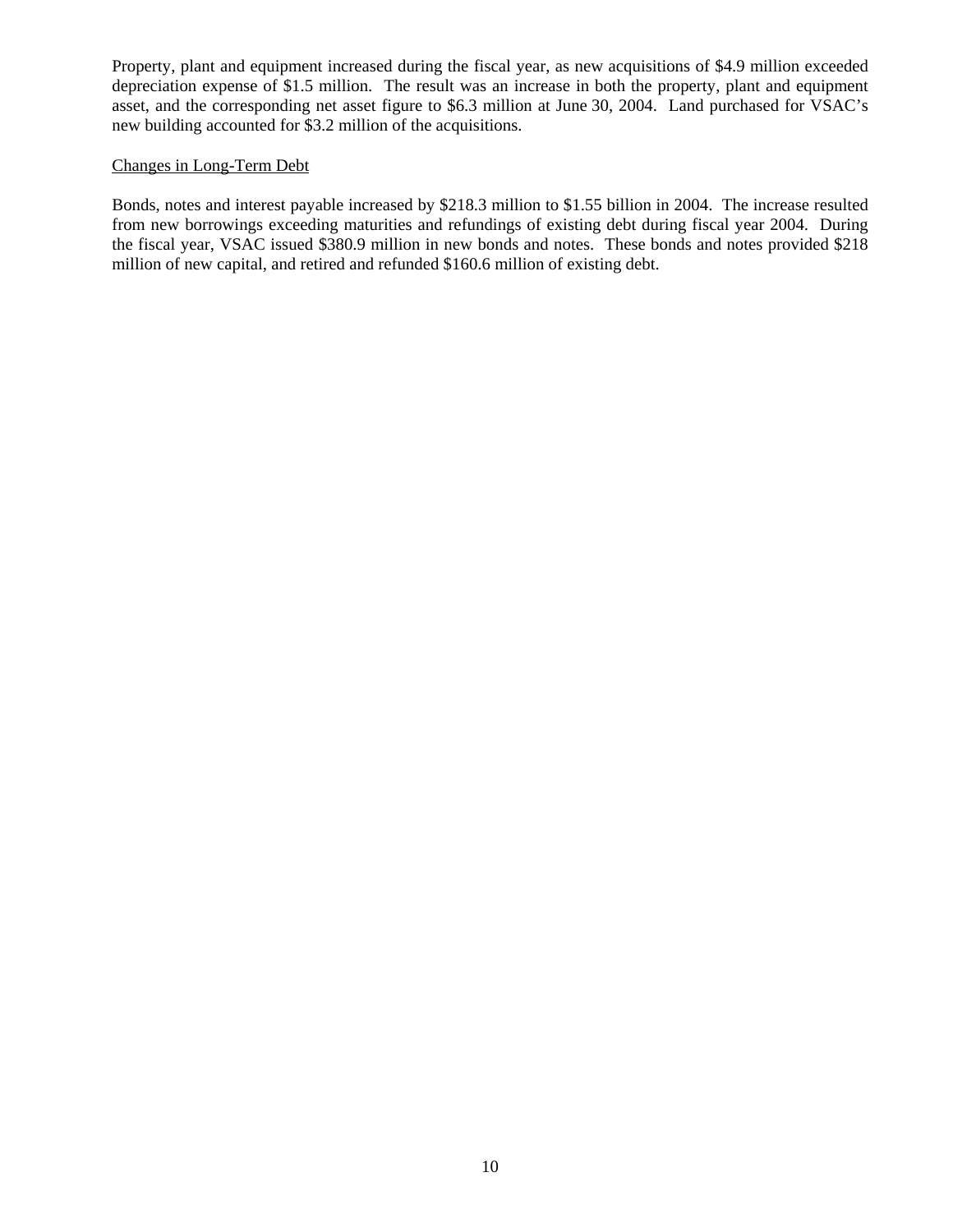Property, plant and equipment increased during the fiscal year, as new acquisitions of \$4.9 million exceeded depreciation expense of \$1.5 million. The result was an increase in both the property, plant and equipment asset, and the corresponding net asset figure to \$6.3 million at June 30, 2004. Land purchased for VSAC's new building accounted for \$3.2 million of the acquisitions.

# Changes in Long-Term Debt

Bonds, notes and interest payable increased by \$218.3 million to \$1.55 billion in 2004. The increase resulted from new borrowings exceeding maturities and refundings of existing debt during fiscal year 2004. During the fiscal year, VSAC issued \$380.9 million in new bonds and notes. These bonds and notes provided \$218 million of new capital, and retired and refunded \$160.6 million of existing debt.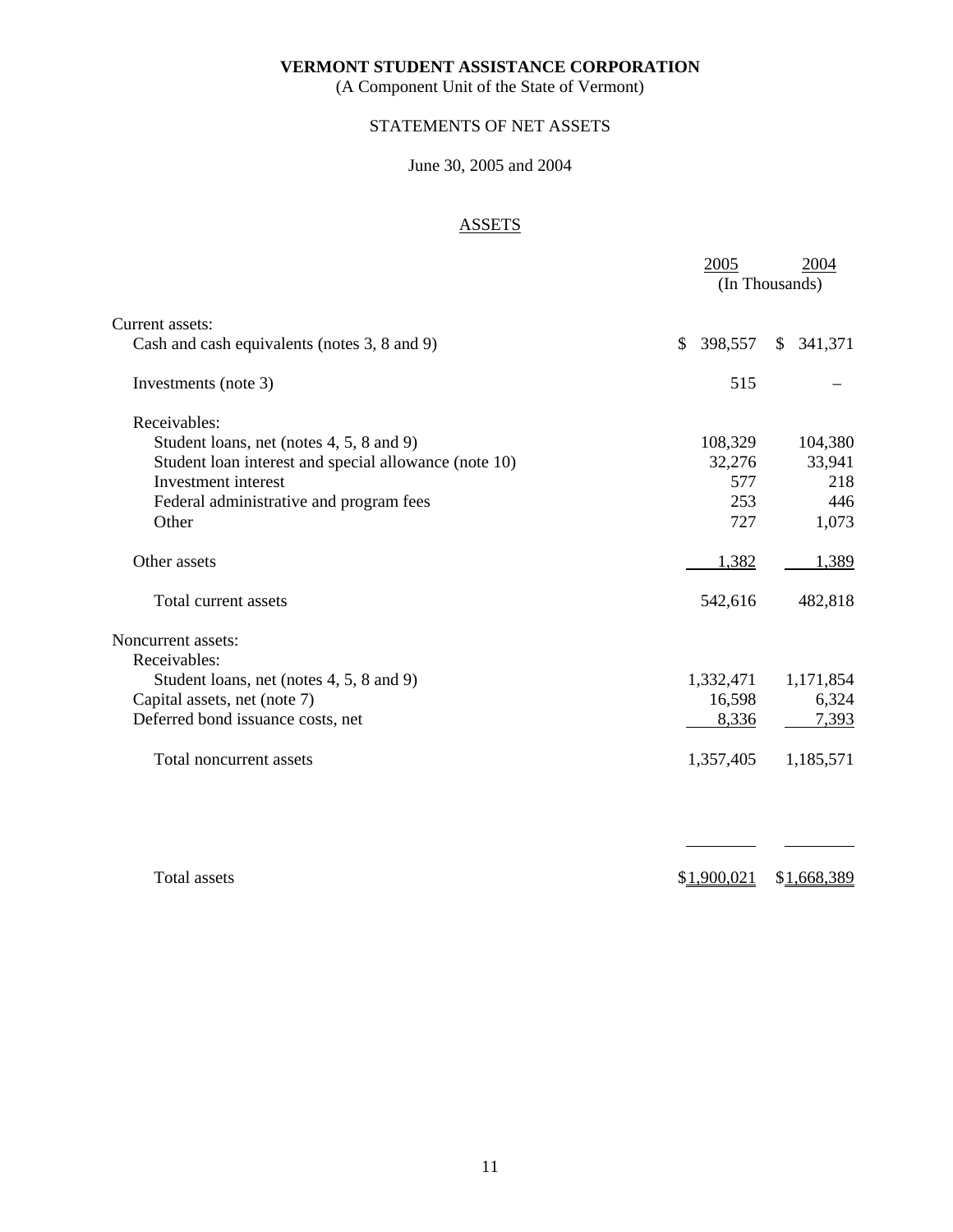(A Component Unit of the State of Vermont)

# STATEMENTS OF NET ASSETS

# June 30, 2005 and 2004

# **ASSETS**

|                                                       | 2005          | 2004                    |
|-------------------------------------------------------|---------------|-------------------------|
|                                                       |               | (In Thousands)          |
| Current assets:                                       |               |                         |
| Cash and cash equivalents (notes 3, 8 and 9)          | 398,557<br>\$ | 341,371<br>$\mathbb{S}$ |
| Investments (note 3)                                  | 515           |                         |
| Receivables:                                          |               |                         |
| Student loans, net (notes 4, 5, 8 and 9)              | 108,329       | 104,380                 |
| Student loan interest and special allowance (note 10) | 32,276        | 33,941                  |
| Investment interest                                   | 577           | 218                     |
| Federal administrative and program fees               | 253           | 446                     |
| Other                                                 | 727           | 1,073                   |
| Other assets                                          | 1,382         | 1,389                   |
| Total current assets                                  | 542,616       | 482,818                 |
| Noncurrent assets:                                    |               |                         |
| Receivables:                                          |               |                         |
| Student loans, net (notes 4, 5, 8 and 9)              | 1,332,471     | 1,171,854               |
| Capital assets, net (note 7)                          | 16,598        | 6,324                   |
| Deferred bond issuance costs, net                     | 8,336         | 7,393                   |
| Total noncurrent assets                               | 1,357,405     | 1,185,571               |
|                                                       |               |                         |
|                                                       |               |                         |
| <b>Total assets</b>                                   | \$1,900,021   | \$ <u>1,668,389</u>     |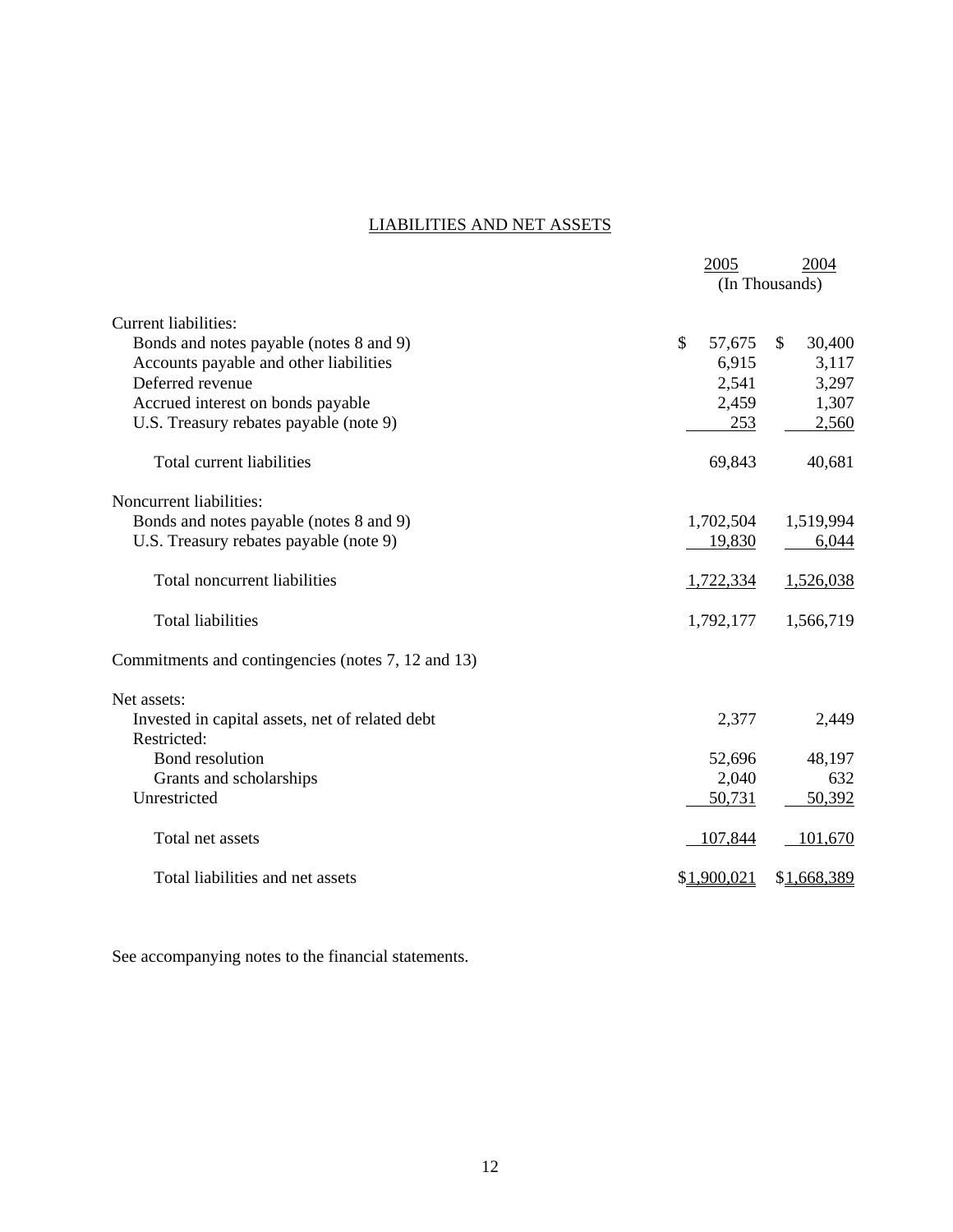# LIABILITIES AND NET ASSETS

|                                                    | 2005         | 2004                   |
|----------------------------------------------------|--------------|------------------------|
|                                                    |              | (In Thousands)         |
| Current liabilities:                               |              |                        |
| Bonds and notes payable (notes 8 and 9)            | \$<br>57,675 | $\mathbb{S}$<br>30,400 |
| Accounts payable and other liabilities             | 6,915        | 3,117                  |
| Deferred revenue                                   | 2,541        | 3,297                  |
| Accrued interest on bonds payable                  | 2,459        | 1,307                  |
| U.S. Treasury rebates payable (note 9)             | 253          | 2,560                  |
| Total current liabilities                          | 69,843       | 40,681                 |
| Noncurrent liabilities:                            |              |                        |
| Bonds and notes payable (notes 8 and 9)            | 1,702,504    | 1,519,994              |
| U.S. Treasury rebates payable (note 9)             | 19,830       | 6,044                  |
| Total noncurrent liabilities                       | 1,722,334    | 1,526,038              |
| <b>Total liabilities</b>                           | 1,792,177    | 1,566,719              |
| Commitments and contingencies (notes 7, 12 and 13) |              |                        |
| Net assets:                                        |              |                        |
| Invested in capital assets, net of related debt    | 2,377        | 2,449                  |
| Restricted:                                        |              |                        |
| Bond resolution                                    | 52,696       | 48,197                 |
| Grants and scholarships                            | 2,040        | 632                    |
| Unrestricted                                       | 50,731       | 50,392                 |
| Total net assets                                   | 107,844      | 101,670                |
| Total liabilities and net assets                   | \$1,900,021  | \$1,668,389            |

See accompanying notes to the financial statements.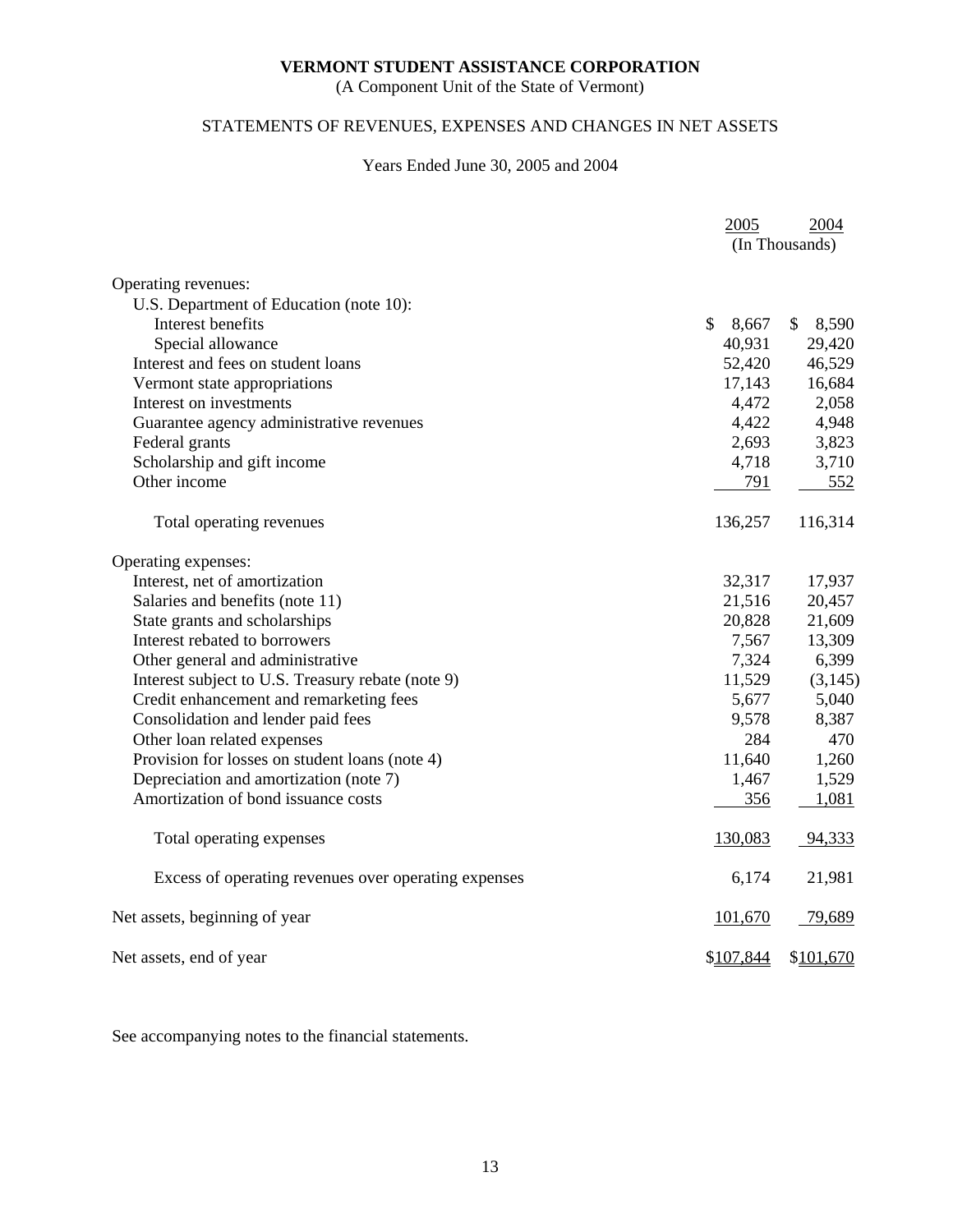(A Component Unit of the State of Vermont)

# STATEMENTS OF REVENUES, EXPENSES AND CHANGES IN NET ASSETS

# Years Ended June 30, 2005 and 2004

|                                                      | 2005                   | 2004        |
|------------------------------------------------------|------------------------|-------------|
|                                                      | (In Thousands)         |             |
|                                                      |                        |             |
| Operating revenues:                                  |                        |             |
| U.S. Department of Education (note 10):              |                        |             |
| Interest benefits                                    | $\mathsf{\$}$<br>8,667 | 8,590<br>\$ |
| Special allowance                                    | 40,931                 | 29,420      |
| Interest and fees on student loans                   | 52,420                 | 46,529      |
| Vermont state appropriations                         | 17,143                 | 16,684      |
| Interest on investments                              | 4,472                  | 2,058       |
| Guarantee agency administrative revenues             | 4,422                  | 4,948       |
| Federal grants                                       | 2,693                  | 3,823       |
| Scholarship and gift income                          | 4,718                  | 3,710       |
| Other income                                         | 791                    | 552         |
| Total operating revenues                             | 136,257                | 116,314     |
| Operating expenses:                                  |                        |             |
| Interest, net of amortization                        | 32,317                 | 17,937      |
| Salaries and benefits (note 11)                      | 21,516                 | 20,457      |
| State grants and scholarships                        | 20,828                 | 21,609      |
| Interest rebated to borrowers                        | 7,567                  | 13,309      |
| Other general and administrative                     | 7,324                  | 6,399       |
| Interest subject to U.S. Treasury rebate (note 9)    | 11,529                 | (3,145)     |
| Credit enhancement and remarketing fees              | 5,677                  | 5,040       |
| Consolidation and lender paid fees                   | 9,578                  | 8,387       |
| Other loan related expenses                          | 284                    | 470         |
| Provision for losses on student loans (note 4)       | 11,640                 | 1,260       |
| Depreciation and amortization (note 7)               | 1,467                  | 1,529       |
| Amortization of bond issuance costs                  | 356                    | 1,081       |
| Total operating expenses                             | 130,083                | 94,333      |
| Excess of operating revenues over operating expenses | 6,174                  | 21,981      |
| Net assets, beginning of year                        | 101,670                | 79,689      |
| Net assets, end of year                              | \$107,844              | \$101,670   |

See accompanying notes to the financial statements.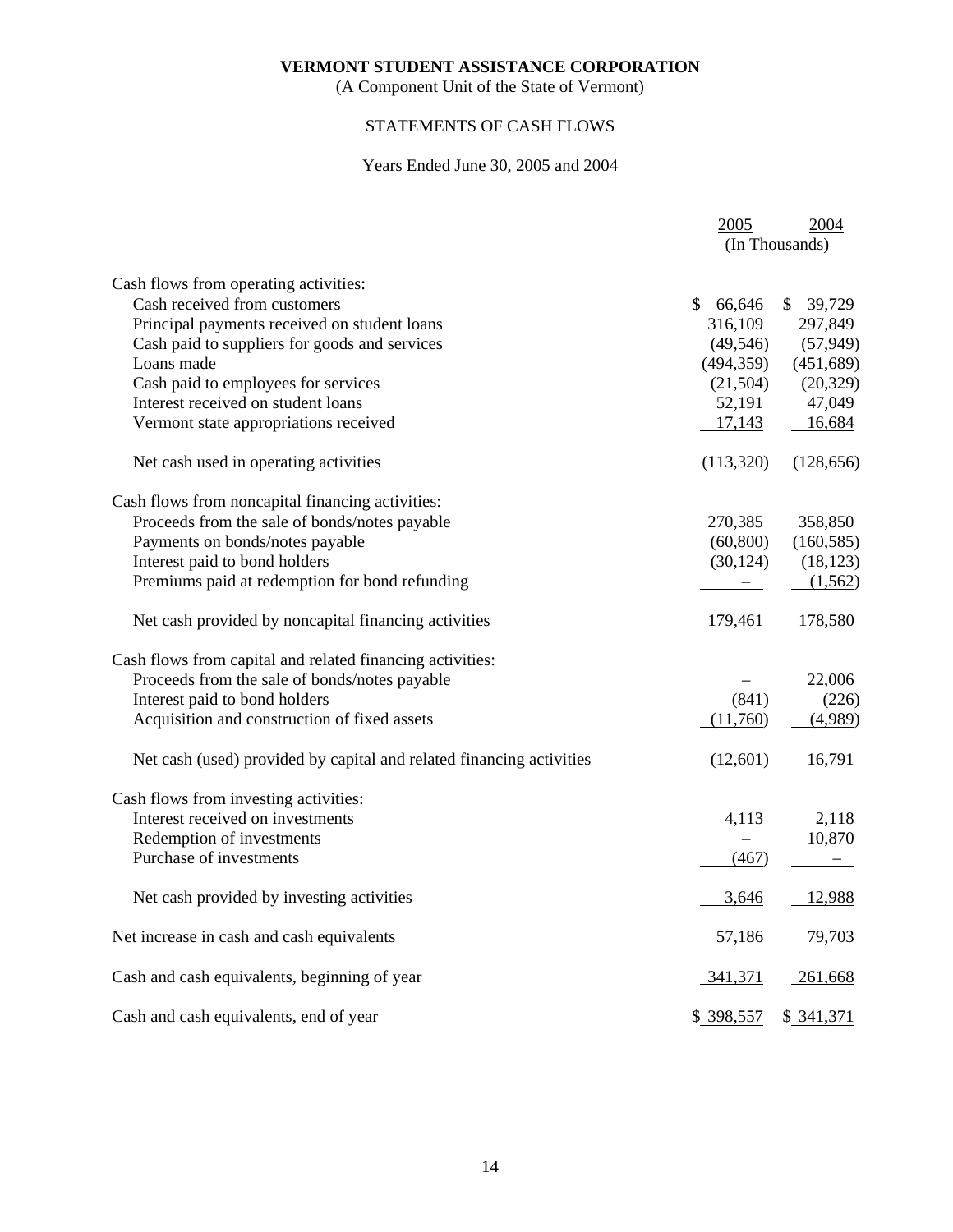(A Component Unit of the State of Vermont)

# STATEMENTS OF CASH FLOWS

# Years Ended June 30, 2005 and 2004

|                                                                      | 2005         | 2004                     |
|----------------------------------------------------------------------|--------------|--------------------------|
|                                                                      |              | (In Thousands)           |
| Cash flows from operating activities:                                |              |                          |
| Cash received from customers                                         | \$<br>66,646 | \$39,729                 |
| Principal payments received on student loans                         | 316,109      | 297,849                  |
| Cash paid to suppliers for goods and services                        | (49, 546)    | (57, 949)                |
| Loans made                                                           | (494, 359)   | (451, 689)               |
| Cash paid to employees for services                                  | (21,504)     | (20, 329)                |
| Interest received on student loans                                   | 52,191       | 47,049                   |
| Vermont state appropriations received                                | 17,143       | 16,684                   |
| Net cash used in operating activities                                | (113,320)    | (128, 656)               |
| Cash flows from noncapital financing activities:                     |              |                          |
| Proceeds from the sale of bonds/notes payable                        | 270,385      | 358,850                  |
| Payments on bonds/notes payable                                      | (60, 800)    | (160, 585)               |
| Interest paid to bond holders                                        | (30, 124)    | (18, 123)                |
| Premiums paid at redemption for bond refunding                       |              | (1,562)                  |
| Net cash provided by noncapital financing activities                 | 179,461      | 178,580                  |
| Cash flows from capital and related financing activities:            |              |                          |
| Proceeds from the sale of bonds/notes payable                        |              | 22,006                   |
| Interest paid to bond holders                                        | (841)        | (226)                    |
| Acquisition and construction of fixed assets                         | (11,760)     | (4,989)                  |
| Net cash (used) provided by capital and related financing activities | (12,601)     | 16,791                   |
| Cash flows from investing activities:                                |              |                          |
| Interest received on investments                                     | 4,113        | 2,118                    |
| Redemption of investments                                            |              | 10,870                   |
| Purchase of investments                                              | (467)        | $\overline{\phantom{0}}$ |
| Net cash provided by investing activities                            | 3,646        | 12,988                   |
| Net increase in cash and cash equivalents                            | 57,186       | 79,703                   |
| Cash and cash equivalents, beginning of year                         | 341,371      | $-261,668$               |
| Cash and cash equivalents, end of year                               | \$ 398,557   | \$ 341,371               |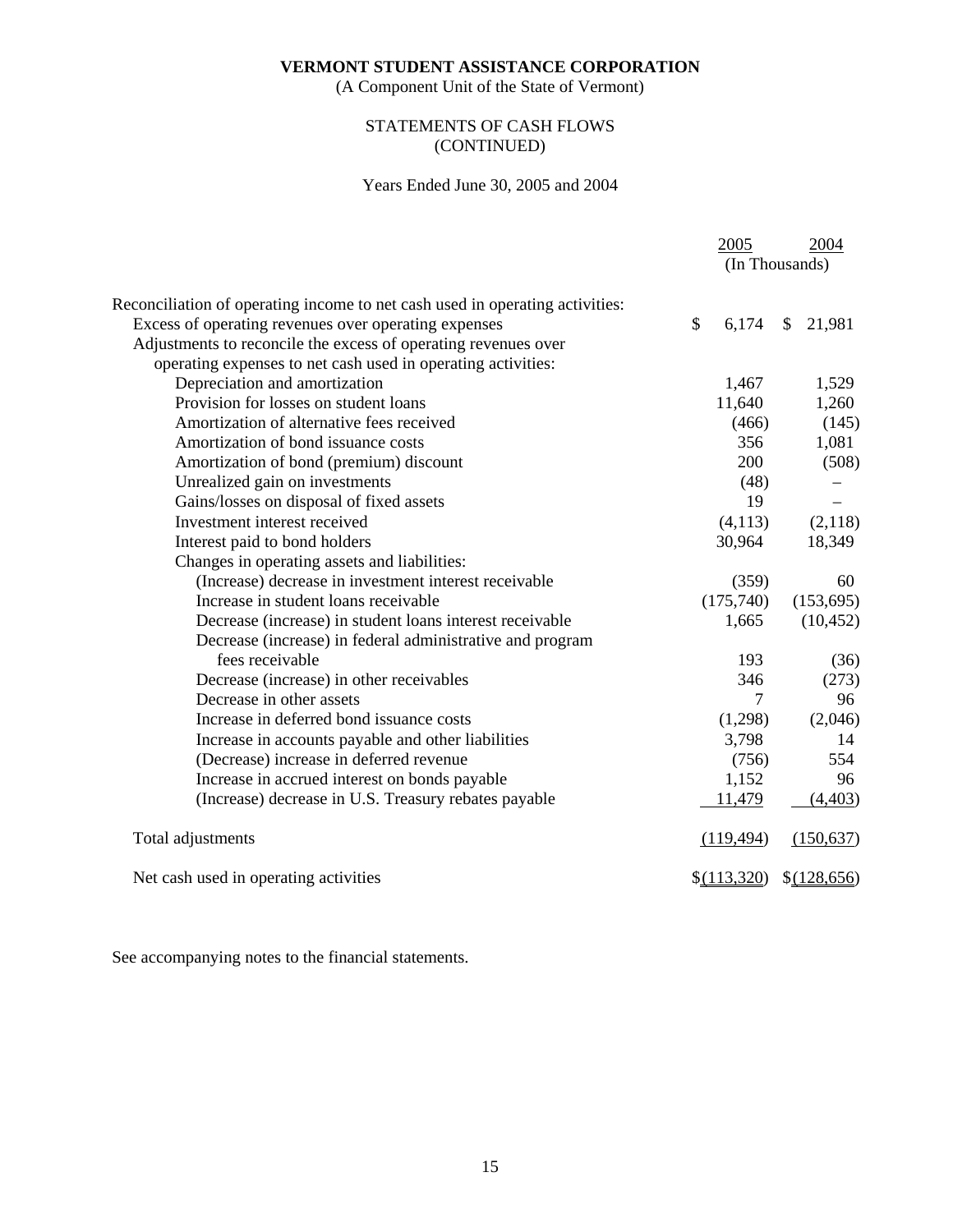(A Component Unit of the State of Vermont)

# STATEMENTS OF CASH FLOWS (CONTINUED)

# Years Ended June 30, 2005 and 2004

|                                                                              | 2005                   | 2004                   |
|------------------------------------------------------------------------------|------------------------|------------------------|
|                                                                              |                        | (In Thousands)         |
| Reconciliation of operating income to net cash used in operating activities: |                        |                        |
| Excess of operating revenues over operating expenses                         | $\mathcal{S}$<br>6,174 | $\mathbb{S}$<br>21,981 |
| Adjustments to reconcile the excess of operating revenues over               |                        |                        |
| operating expenses to net cash used in operating activities:                 |                        |                        |
| Depreciation and amortization                                                | 1,467                  | 1,529                  |
| Provision for losses on student loans                                        | 11,640                 | 1,260                  |
| Amortization of alternative fees received                                    | (466)                  | (145)                  |
| Amortization of bond issuance costs                                          | 356                    | 1,081                  |
| Amortization of bond (premium) discount                                      | 200                    | (508)                  |
| Unrealized gain on investments                                               | (48)                   |                        |
| Gains/losses on disposal of fixed assets                                     | 19                     |                        |
| Investment interest received                                                 | (4,113)                | (2,118)                |
| Interest paid to bond holders                                                | 30,964                 | 18,349                 |
| Changes in operating assets and liabilities:                                 |                        |                        |
| (Increase) decrease in investment interest receivable                        | (359)                  | 60                     |
| Increase in student loans receivable                                         | (175,740)              | (153, 695)             |
| Decrease (increase) in student loans interest receivable                     | 1,665                  | (10, 452)              |
| Decrease (increase) in federal administrative and program                    |                        |                        |
| fees receivable                                                              | 193                    | (36)                   |
| Decrease (increase) in other receivables                                     | 346                    | (273)                  |
| Decrease in other assets                                                     | 7                      | 96                     |
| Increase in deferred bond issuance costs                                     | (1,298)                | (2,046)                |
| Increase in accounts payable and other liabilities                           | 3,798                  | 14                     |
| (Decrease) increase in deferred revenue                                      | (756)                  | 554                    |
| Increase in accrued interest on bonds payable                                | 1,152                  | 96                     |
| (Increase) decrease in U.S. Treasury rebates payable                         | 11,479                 | (4, 403)               |
| Total adjustments                                                            | (119, 494)             | (150, 637)             |
| Net cash used in operating activities                                        | \$(113,320)            | \$ (128,656)           |

See accompanying notes to the financial statements.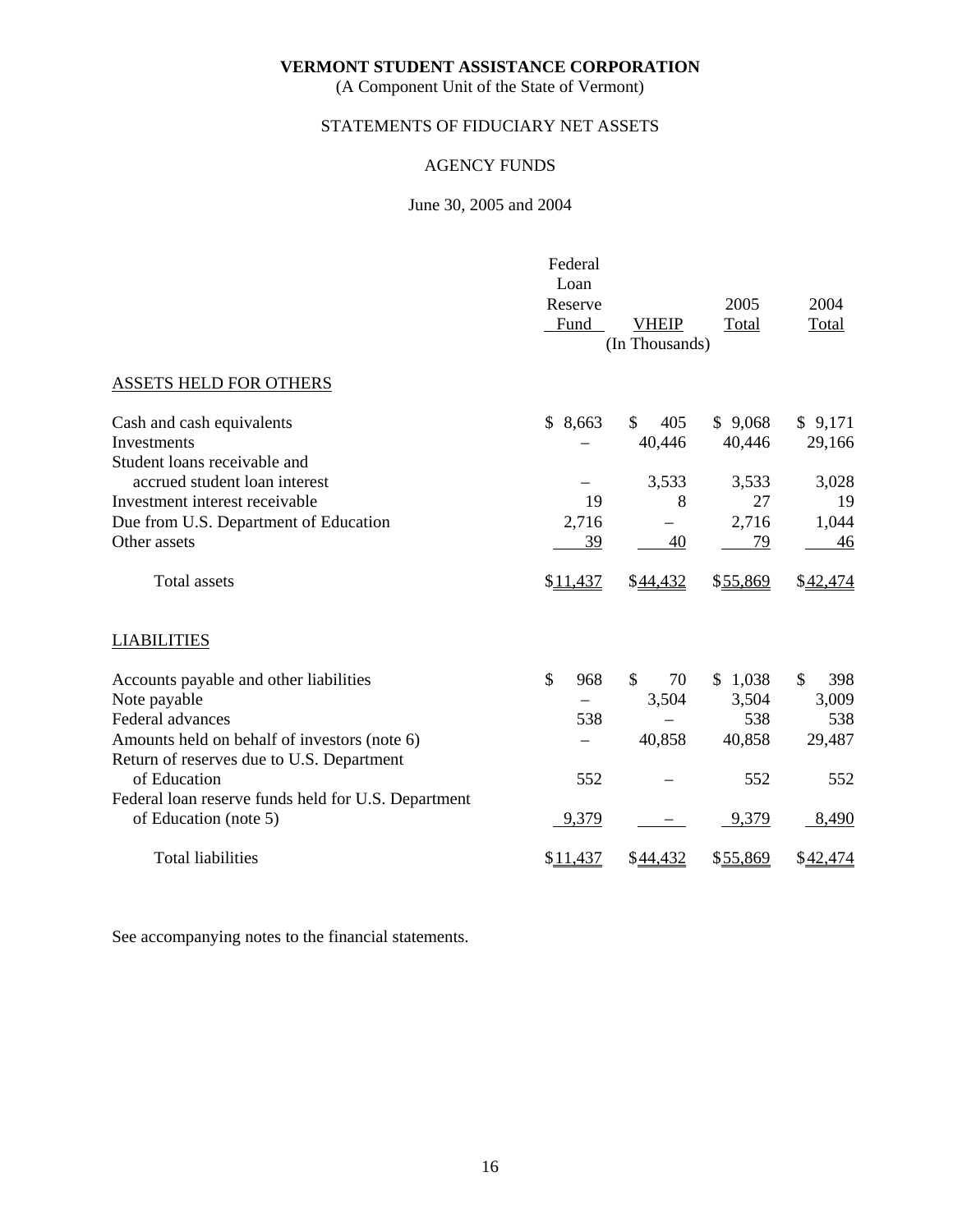(A Component Unit of the State of Vermont)

# STATEMENTS OF FIDUCIARY NET ASSETS

# AGENCY FUNDS

# June 30, 2005 and 2004

|                                                     | Federal             |                  |          |           |
|-----------------------------------------------------|---------------------|------------------|----------|-----------|
|                                                     | Loan                |                  |          |           |
|                                                     | Reserve             |                  | 2005     | 2004      |
|                                                     | Fund                | <b>VHEIP</b>     | Total    | Total     |
|                                                     |                     | (In Thousands)   |          |           |
| <b>ASSETS HELD FOR OTHERS</b>                       |                     |                  |          |           |
| Cash and cash equivalents                           | \$<br>8,663         | \$<br>405        | \$9,068  | \$9,171   |
| Investments                                         |                     | 40,446           | 40,446   | 29,166    |
| Student loans receivable and                        |                     |                  |          |           |
| accrued student loan interest                       |                     | 3,533            | 3,533    | 3,028     |
| Investment interest receivable                      | 19                  | 8                | 27       | 19        |
| Due from U.S. Department of Education               | 2,716               |                  | 2,716    | 1,044     |
| Other assets                                        | 39                  | 40               | 79       | 46        |
| <b>Total assets</b>                                 | \$11,437            | \$44,432         | \$55,869 | \$42,474  |
| <b>LIABILITIES</b>                                  |                     |                  |          |           |
| Accounts payable and other liabilities              | $\mathbb{S}$<br>968 | \$<br>70         | \$1,038  | \$<br>398 |
| Note payable                                        |                     | 3,504            | 3,504    | 3,009     |
| Federal advances                                    | 538                 |                  | 538      | 538       |
| Amounts held on behalf of investors (note 6)        |                     | 40,858           | 40,858   | 29,487    |
| Return of reserves due to U.S. Department           |                     |                  |          |           |
| of Education                                        | 552                 |                  | 552      | 552       |
| Federal loan reserve funds held for U.S. Department |                     |                  |          |           |
| of Education (note 5)                               | 9,379               |                  | 9,379    | 8,490     |
| <b>Total liabilities</b>                            | \$11,437            | \$ <u>44,432</u> | \$55,869 | \$42,474  |

See accompanying notes to the financial statements.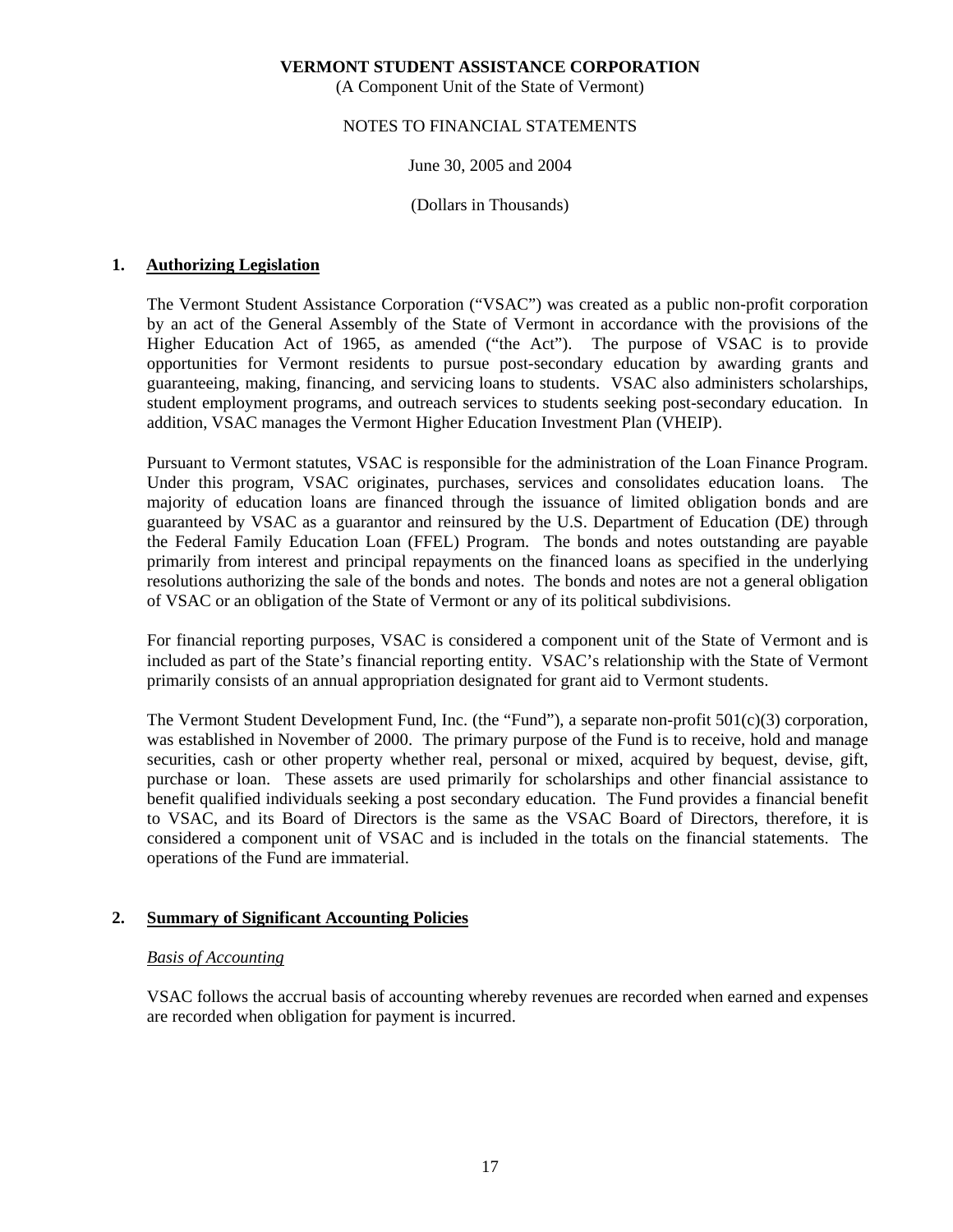(A Component Unit of the State of Vermont)

# NOTES TO FINANCIAL STATEMENTS

# June 30, 2005 and 2004

#### (Dollars in Thousands)

# **1. Authorizing Legislation**

 The Vermont Student Assistance Corporation ("VSAC") was created as a public non-profit corporation by an act of the General Assembly of the State of Vermont in accordance with the provisions of the Higher Education Act of 1965, as amended ("the Act"). The purpose of VSAC is to provide opportunities for Vermont residents to pursue post-secondary education by awarding grants and guaranteeing, making, financing, and servicing loans to students. VSAC also administers scholarships, student employment programs, and outreach services to students seeking post-secondary education. In addition, VSAC manages the Vermont Higher Education Investment Plan (VHEIP).

 Pursuant to Vermont statutes, VSAC is responsible for the administration of the Loan Finance Program. Under this program, VSAC originates, purchases, services and consolidates education loans. The majority of education loans are financed through the issuance of limited obligation bonds and are guaranteed by VSAC as a guarantor and reinsured by the U.S. Department of Education (DE) through the Federal Family Education Loan (FFEL) Program. The bonds and notes outstanding are payable primarily from interest and principal repayments on the financed loans as specified in the underlying resolutions authorizing the sale of the bonds and notes. The bonds and notes are not a general obligation of VSAC or an obligation of the State of Vermont or any of its political subdivisions.

 For financial reporting purposes, VSAC is considered a component unit of the State of Vermont and is included as part of the State's financial reporting entity. VSAC's relationship with the State of Vermont primarily consists of an annual appropriation designated for grant aid to Vermont students.

 The Vermont Student Development Fund, Inc. (the "Fund"), a separate non-profit 501(c)(3) corporation, was established in November of 2000. The primary purpose of the Fund is to receive, hold and manage securities, cash or other property whether real, personal or mixed, acquired by bequest, devise, gift, purchase or loan. These assets are used primarily for scholarships and other financial assistance to benefit qualified individuals seeking a post secondary education. The Fund provides a financial benefit to VSAC, and its Board of Directors is the same as the VSAC Board of Directors, therefore, it is considered a component unit of VSAC and is included in the totals on the financial statements. The operations of the Fund are immaterial.

# **2. Summary of Significant Accounting Policies**

# *Basis of Accounting*

 VSAC follows the accrual basis of accounting whereby revenues are recorded when earned and expenses are recorded when obligation for payment is incurred.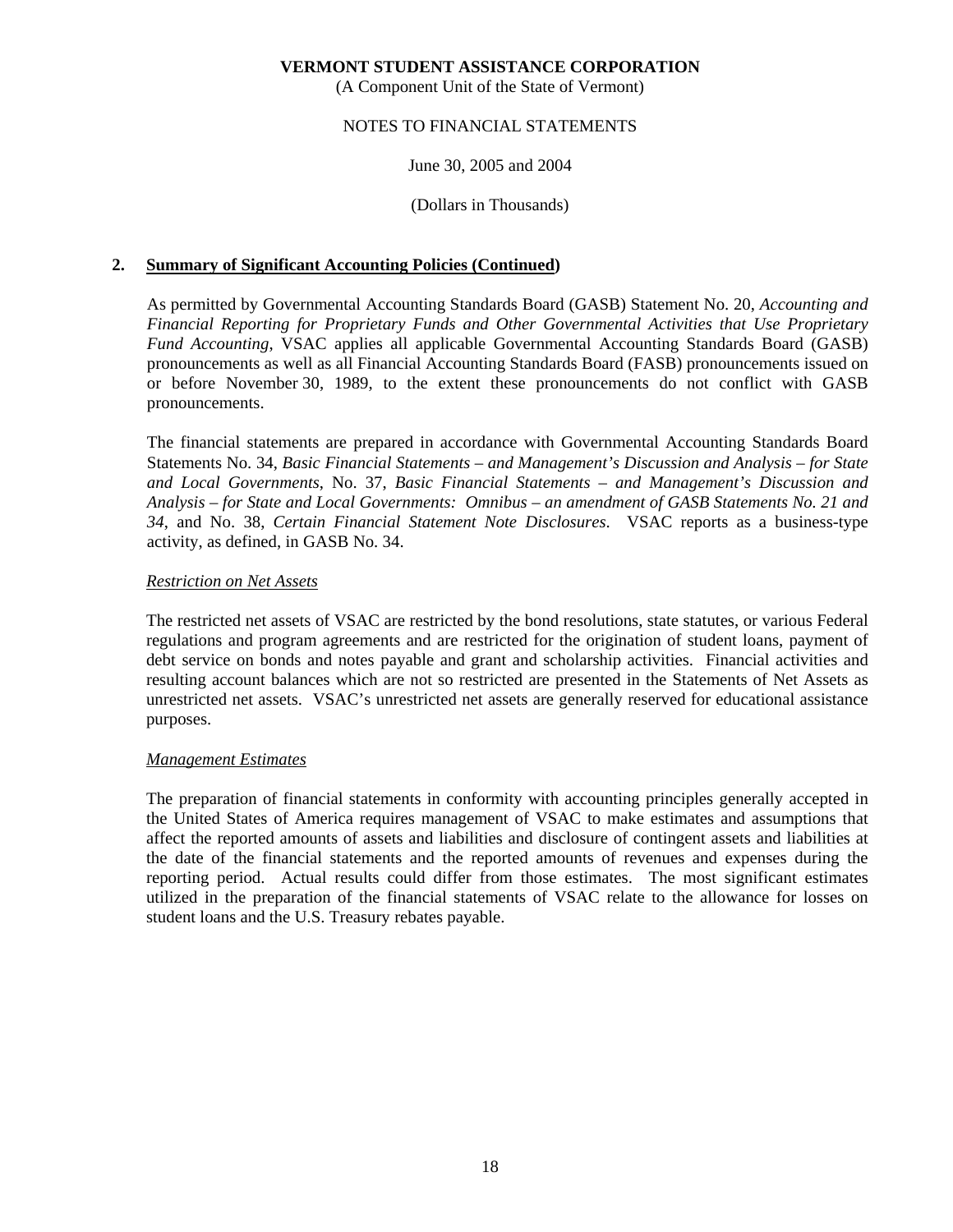(A Component Unit of the State of Vermont)

# NOTES TO FINANCIAL STATEMENTS

# June 30, 2005 and 2004

# (Dollars in Thousands)

# **2. Summary of Significant Accounting Policies (Continued)**

 As permitted by Governmental Accounting Standards Board (GASB) Statement No. 20, *Accounting and Financial Reporting for Proprietary Funds and Other Governmental Activities that Use Proprietary Fund Accounting*, VSAC applies all applicable Governmental Accounting Standards Board (GASB) pronouncements as well as all Financial Accounting Standards Board (FASB) pronouncements issued on or before November 30, 1989, to the extent these pronouncements do not conflict with GASB pronouncements.

 The financial statements are prepared in accordance with Governmental Accounting Standards Board Statements No. 34, *Basic Financial Statements – and Management's Discussion and Analysis – for State and Local Governments*, No. 37, *Basic Financial Statements – and Management's Discussion and Analysis – for State and Local Governments: Omnibus – an amendment of GASB Statements No. 21 and 34*, and No. 38, *Certain Financial Statement Note Disclosures*. VSAC reports as a business-type activity, as defined, in GASB No. 34.

# *Restriction on Net Assets*

 The restricted net assets of VSAC are restricted by the bond resolutions, state statutes, or various Federal regulations and program agreements and are restricted for the origination of student loans, payment of debt service on bonds and notes payable and grant and scholarship activities. Financial activities and resulting account balances which are not so restricted are presented in the Statements of Net Assets as unrestricted net assets. VSAC's unrestricted net assets are generally reserved for educational assistance purposes.

#### *Management Estimates*

 The preparation of financial statements in conformity with accounting principles generally accepted in the United States of America requires management of VSAC to make estimates and assumptions that affect the reported amounts of assets and liabilities and disclosure of contingent assets and liabilities at the date of the financial statements and the reported amounts of revenues and expenses during the reporting period. Actual results could differ from those estimates. The most significant estimates utilized in the preparation of the financial statements of VSAC relate to the allowance for losses on student loans and the U.S. Treasury rebates payable.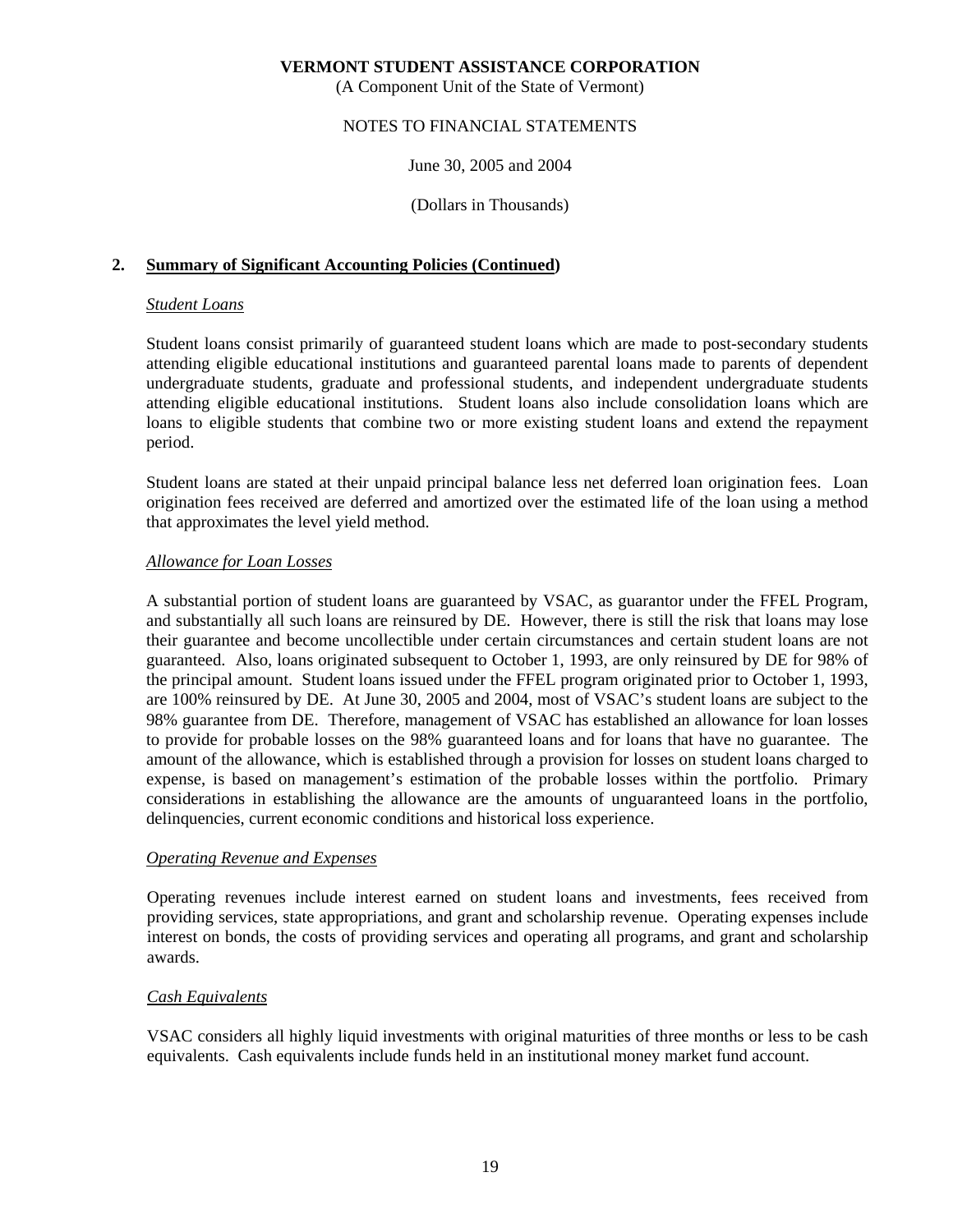(A Component Unit of the State of Vermont)

# NOTES TO FINANCIAL STATEMENTS

June 30, 2005 and 2004

(Dollars in Thousands)

# **2. Summary of Significant Accounting Policies (Continued)**

## *Student Loans*

 Student loans consist primarily of guaranteed student loans which are made to post-secondary students attending eligible educational institutions and guaranteed parental loans made to parents of dependent undergraduate students, graduate and professional students, and independent undergraduate students attending eligible educational institutions. Student loans also include consolidation loans which are loans to eligible students that combine two or more existing student loans and extend the repayment period.

 Student loans are stated at their unpaid principal balance less net deferred loan origination fees. Loan origination fees received are deferred and amortized over the estimated life of the loan using a method that approximates the level yield method.

# *Allowance for Loan Losses*

 A substantial portion of student loans are guaranteed by VSAC, as guarantor under the FFEL Program, and substantially all such loans are reinsured by DE. However, there is still the risk that loans may lose their guarantee and become uncollectible under certain circumstances and certain student loans are not guaranteed. Also, loans originated subsequent to October 1, 1993, are only reinsured by DE for 98% of the principal amount. Student loans issued under the FFEL program originated prior to October 1, 1993, are 100% reinsured by DE. At June 30, 2005 and 2004, most of VSAC's student loans are subject to the 98% guarantee from DE. Therefore, management of VSAC has established an allowance for loan losses to provide for probable losses on the 98% guaranteed loans and for loans that have no guarantee. The amount of the allowance, which is established through a provision for losses on student loans charged to expense, is based on management's estimation of the probable losses within the portfolio. Primary considerations in establishing the allowance are the amounts of unguaranteed loans in the portfolio, delinquencies, current economic conditions and historical loss experience.

#### *Operating Revenue and Expenses*

 Operating revenues include interest earned on student loans and investments, fees received from providing services, state appropriations, and grant and scholarship revenue. Operating expenses include interest on bonds, the costs of providing services and operating all programs, and grant and scholarship awards.

# *Cash Equivalents*

 VSAC considers all highly liquid investments with original maturities of three months or less to be cash equivalents. Cash equivalents include funds held in an institutional money market fund account.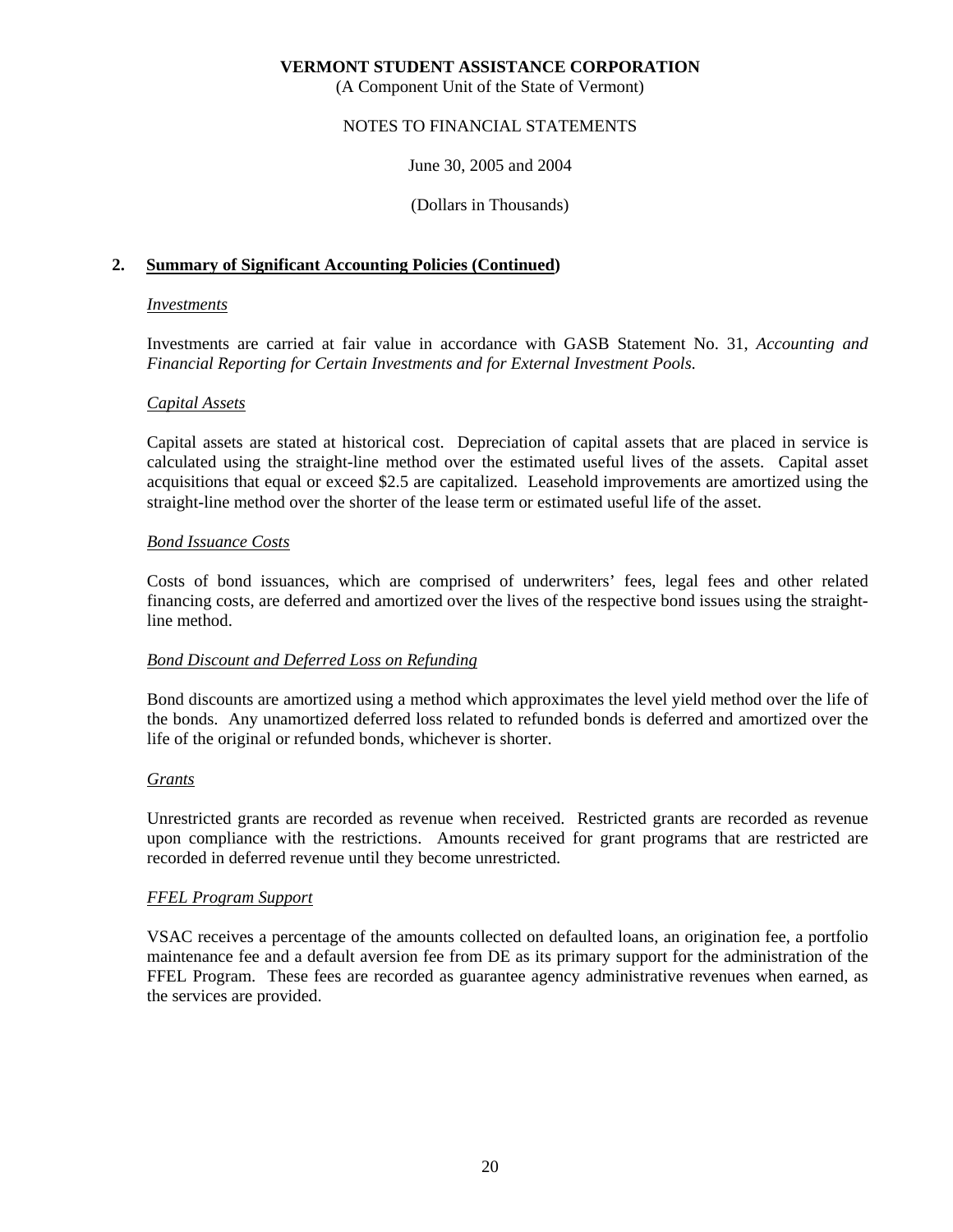(A Component Unit of the State of Vermont)

# NOTES TO FINANCIAL STATEMENTS

June 30, 2005 and 2004

(Dollars in Thousands)

# **2. Summary of Significant Accounting Policies (Continued)**

#### *Investments*

 Investments are carried at fair value in accordance with GASB Statement No. 31, *Accounting and Financial Reporting for Certain Investments and for External Investment Pools*.

# *Capital Assets*

 Capital assets are stated at historical cost. Depreciation of capital assets that are placed in service is calculated using the straight-line method over the estimated useful lives of the assets. Capital asset acquisitions that equal or exceed \$2.5 are capitalized. Leasehold improvements are amortized using the straight-line method over the shorter of the lease term or estimated useful life of the asset.

# *Bond Issuance Costs*

 Costs of bond issuances, which are comprised of underwriters' fees, legal fees and other related financing costs, are deferred and amortized over the lives of the respective bond issues using the straightline method.

#### *Bond Discount and Deferred Loss on Refunding*

 Bond discounts are amortized using a method which approximates the level yield method over the life of the bonds. Any unamortized deferred loss related to refunded bonds is deferred and amortized over the life of the original or refunded bonds, whichever is shorter.

#### *Grants*

 Unrestricted grants are recorded as revenue when received. Restricted grants are recorded as revenue upon compliance with the restrictions. Amounts received for grant programs that are restricted are recorded in deferred revenue until they become unrestricted.

# *FFEL Program Support*

 VSAC receives a percentage of the amounts collected on defaulted loans, an origination fee, a portfolio maintenance fee and a default aversion fee from DE as its primary support for the administration of the FFEL Program. These fees are recorded as guarantee agency administrative revenues when earned, as the services are provided.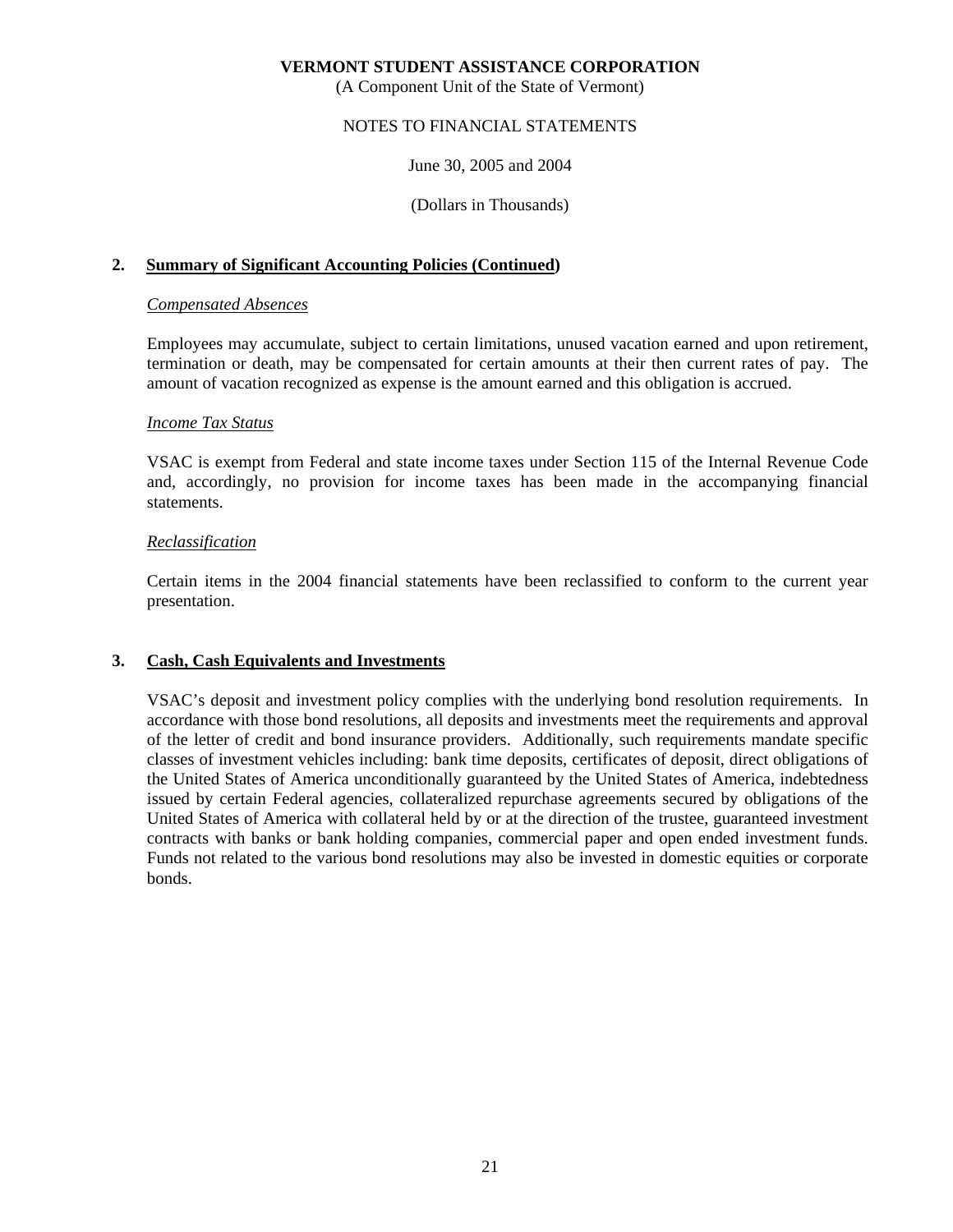(A Component Unit of the State of Vermont)

## NOTES TO FINANCIAL STATEMENTS

June 30, 2005 and 2004

(Dollars in Thousands)

# **2. Summary of Significant Accounting Policies (Continued)**

#### *Compensated Absences*

 Employees may accumulate, subject to certain limitations, unused vacation earned and upon retirement, termination or death, may be compensated for certain amounts at their then current rates of pay. The amount of vacation recognized as expense is the amount earned and this obligation is accrued.

#### *Income Tax Status*

 VSAC is exempt from Federal and state income taxes under Section 115 of the Internal Revenue Code and, accordingly, no provision for income taxes has been made in the accompanying financial statements.

#### *Reclassification*

 Certain items in the 2004 financial statements have been reclassified to conform to the current year presentation.

#### **3. Cash, Cash Equivalents and Investments**

 VSAC's deposit and investment policy complies with the underlying bond resolution requirements. In accordance with those bond resolutions, all deposits and investments meet the requirements and approval of the letter of credit and bond insurance providers. Additionally, such requirements mandate specific classes of investment vehicles including: bank time deposits, certificates of deposit, direct obligations of the United States of America unconditionally guaranteed by the United States of America, indebtedness issued by certain Federal agencies, collateralized repurchase agreements secured by obligations of the United States of America with collateral held by or at the direction of the trustee, guaranteed investment contracts with banks or bank holding companies, commercial paper and open ended investment funds. Funds not related to the various bond resolutions may also be invested in domestic equities or corporate bonds.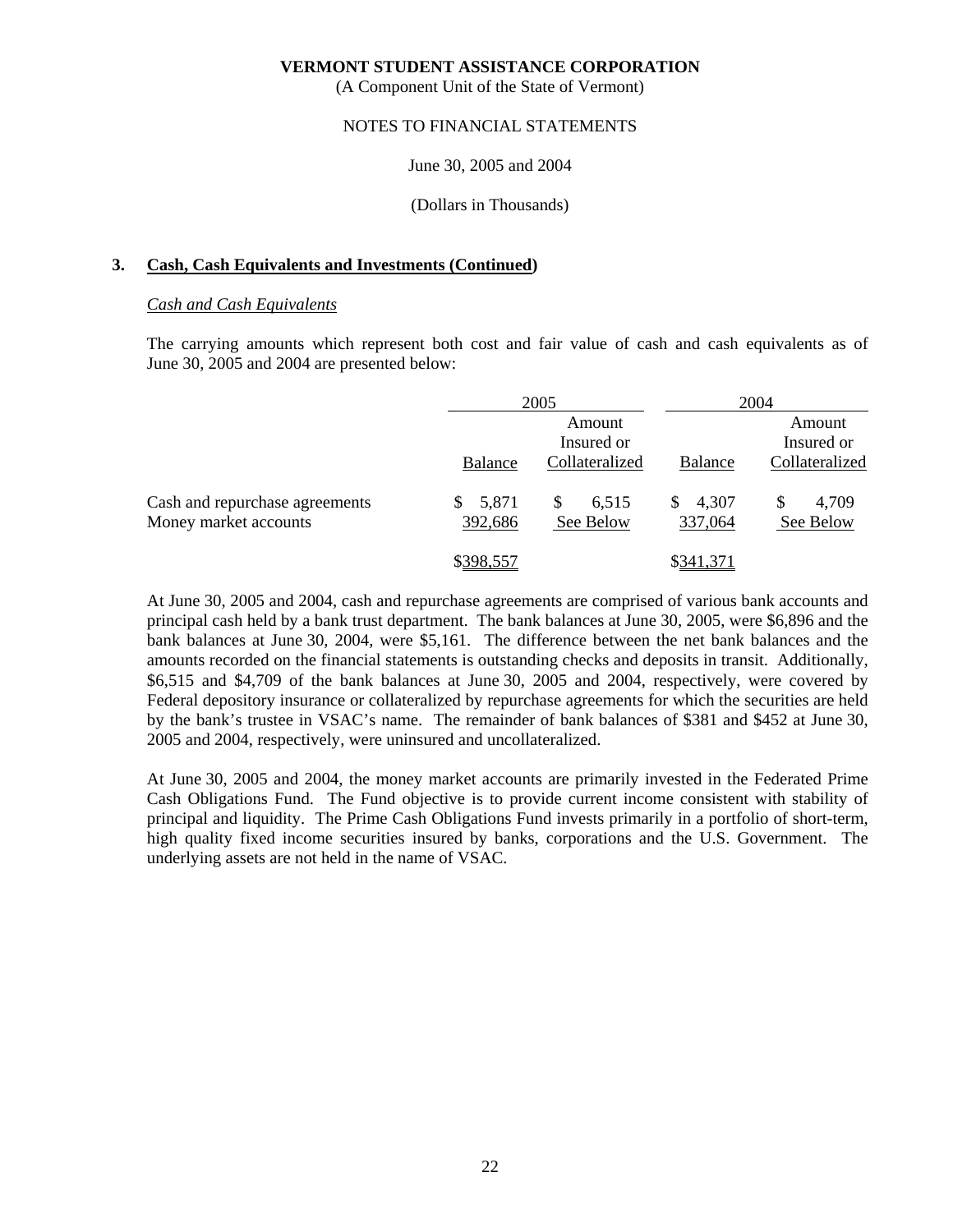(A Component Unit of the State of Vermont)

#### NOTES TO FINANCIAL STATEMENTS

#### June 30, 2005 and 2004

#### (Dollars in Thousands)

#### **3. Cash, Cash Equivalents and Investments (Continued)**

#### *Cash and Cash Equivalents*

 The carrying amounts which represent both cost and fair value of cash and cash equivalents as of June 30, 2005 and 2004 are presented below:

|                                                         |                  | 2005                     |                         | 2004                     |
|---------------------------------------------------------|------------------|--------------------------|-------------------------|--------------------------|
|                                                         |                  | Amount<br>Insured or     |                         | Amount<br>Insured or     |
|                                                         | Balance          | Collateralized           | Balance                 | Collateralized           |
| Cash and repurchase agreements<br>Money market accounts | 5,871<br>392,686 | S.<br>6,515<br>See Below | 4,307<br>\$.<br>337,064 | 4,709<br>\$<br>See Below |
|                                                         | \$398,557        |                          | \$341,371               |                          |

 At June 30, 2005 and 2004, cash and repurchase agreements are comprised of various bank accounts and principal cash held by a bank trust department. The bank balances at June 30, 2005, were \$6,896 and the bank balances at June 30, 2004, were \$5,161. The difference between the net bank balances and the amounts recorded on the financial statements is outstanding checks and deposits in transit. Additionally, \$6,515 and \$4,709 of the bank balances at June 30, 2005 and 2004, respectively, were covered by Federal depository insurance or collateralized by repurchase agreements for which the securities are held by the bank's trustee in VSAC's name. The remainder of bank balances of \$381 and \$452 at June 30, 2005 and 2004, respectively, were uninsured and uncollateralized.

 At June 30, 2005 and 2004, the money market accounts are primarily invested in the Federated Prime Cash Obligations Fund. The Fund objective is to provide current income consistent with stability of principal and liquidity. The Prime Cash Obligations Fund invests primarily in a portfolio of short-term, high quality fixed income securities insured by banks, corporations and the U.S. Government. The underlying assets are not held in the name of VSAC.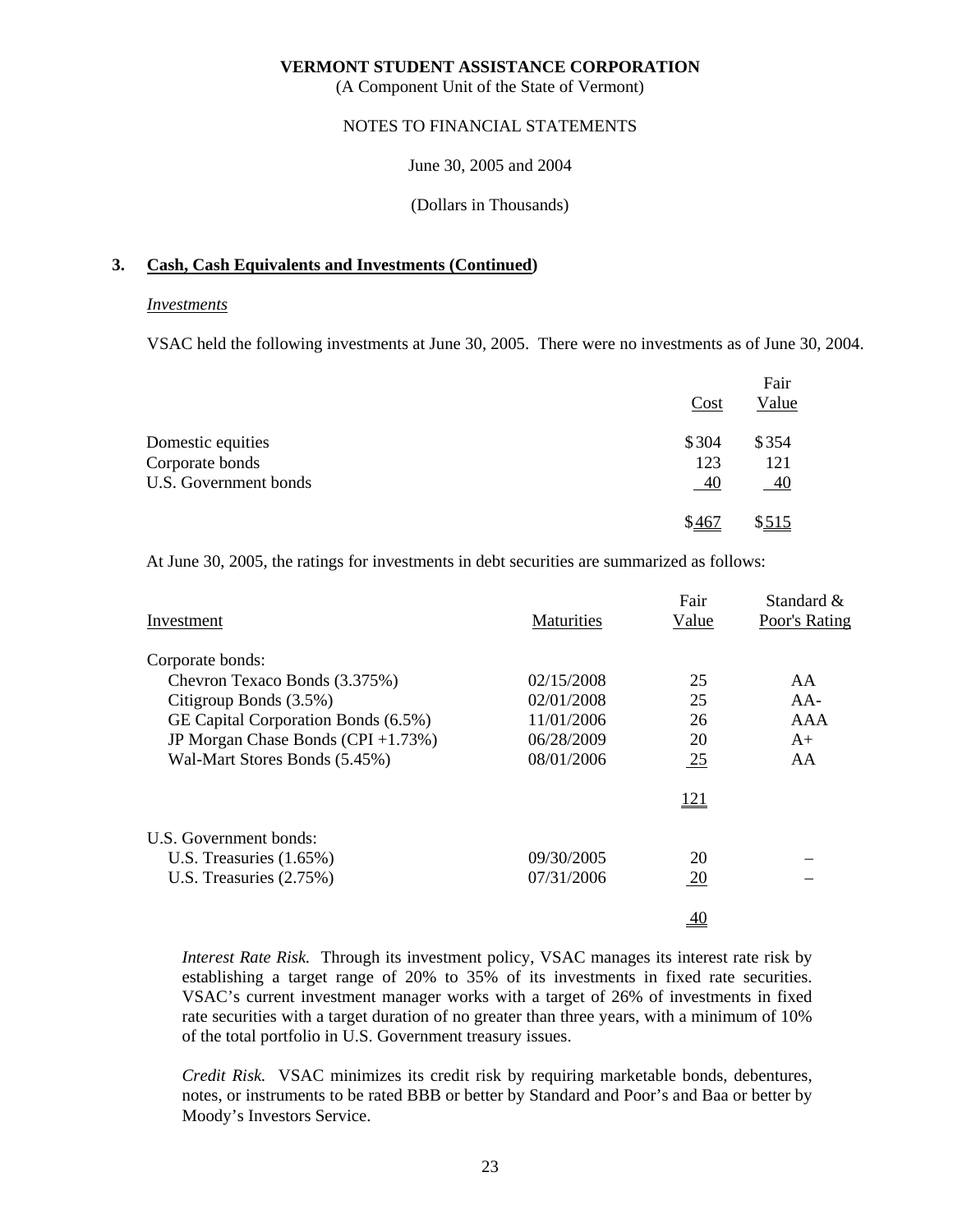(A Component Unit of the State of Vermont)

## NOTES TO FINANCIAL STATEMENTS

June 30, 2005 and 2004

(Dollars in Thousands)

# **3. Cash, Cash Equivalents and Investments (Continued)**

#### *Investments*

VSAC held the following investments at June 30, 2005. There were no investments as of June 30, 2004.

|                       |       | Fair  |
|-----------------------|-------|-------|
|                       | Cost  | Value |
| Domestic equities     | \$304 | \$354 |
| Corporate bonds       | 123   | 121   |
| U.S. Government bonds | 40    | 40    |
|                       | \$467 | \$515 |

At June 30, 2005, the ratings for investments in debt securities are summarized as follows:

|                                     |                   | Fair           | Standard &    |
|-------------------------------------|-------------------|----------------|---------------|
| Investment                          | <b>Maturities</b> | Value          | Poor's Rating |
| Corporate bonds:                    |                   |                |               |
| Chevron Texaco Bonds (3.375%)       | 02/15/2008        | 25             | AA            |
| Citigroup Bonds (3.5%)              | 02/01/2008        | 25             | $AA-$         |
| GE Capital Corporation Bonds (6.5%) | 11/01/2006        | 26             | AAA           |
| JP Morgan Chase Bonds (CPI +1.73%)  | 06/28/2009        | 20             | $A+$          |
| Wal-Mart Stores Bonds (5.45%)       | 08/01/2006        | $\frac{25}{2}$ | AA            |
|                                     |                   | <u>121</u>     |               |
| U.S. Government bonds:              |                   |                |               |
| U.S. Treasuries $(1.65\%)$          | 09/30/2005        | 20             |               |
| U.S. Treasuries $(2.75%)$           | 07/31/2006        | <u>20</u>      |               |
|                                     |                   | 40             |               |

*Interest Rate Risk.* Through its investment policy, VSAC manages its interest rate risk by establishing a target range of 20% to 35% of its investments in fixed rate securities. VSAC's current investment manager works with a target of 26% of investments in fixed rate securities with a target duration of no greater than three years, with a minimum of 10% of the total portfolio in U.S. Government treasury issues.

 *Credit Risk.* VSAC minimizes its credit risk by requiring marketable bonds, debentures, notes, or instruments to be rated BBB or better by Standard and Poor's and Baa or better by Moody's Investors Service.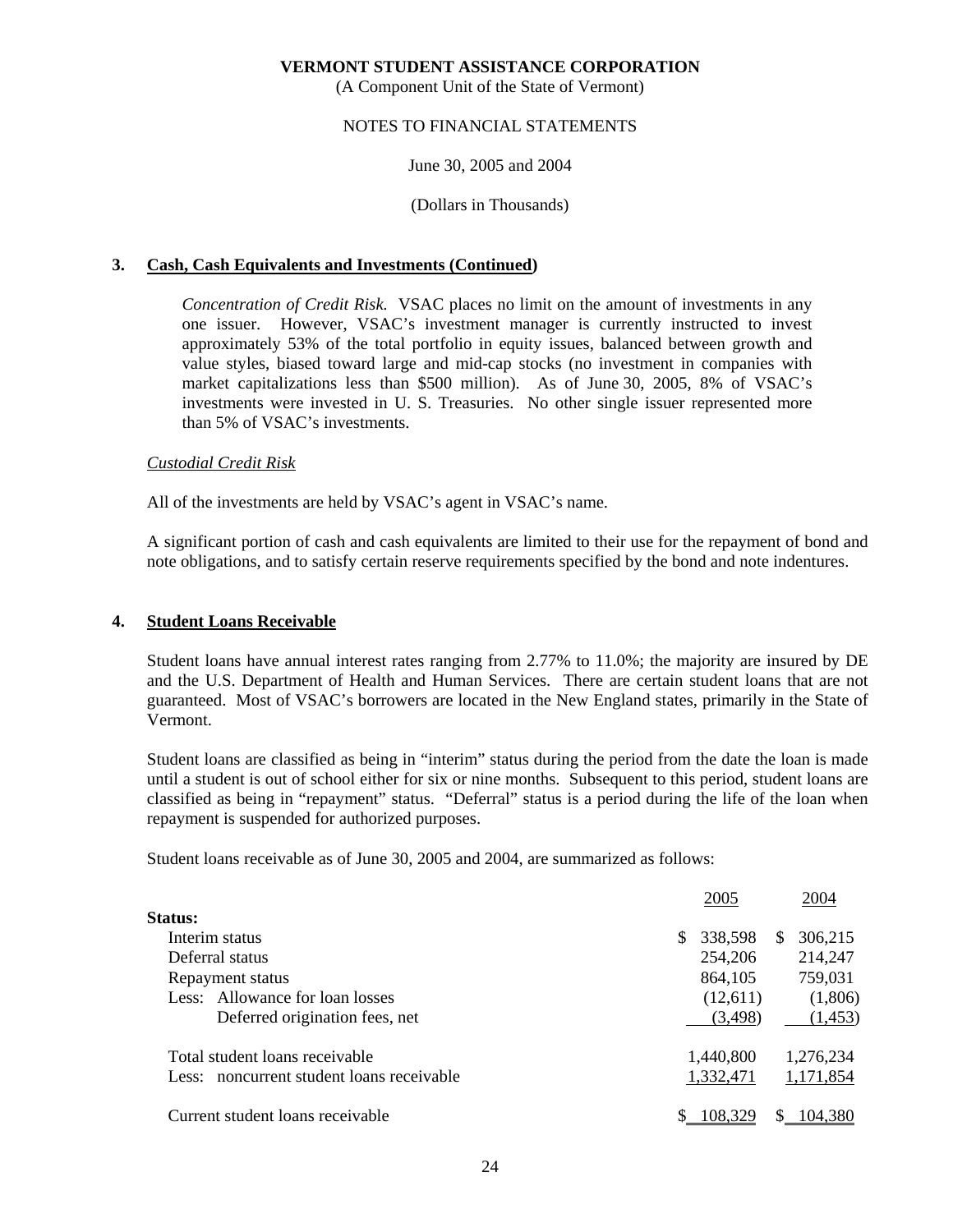(A Component Unit of the State of Vermont)

# NOTES TO FINANCIAL STATEMENTS

# June 30, 2005 and 2004

#### (Dollars in Thousands)

# **3. Cash, Cash Equivalents and Investments (Continued)**

 *Concentration of Credit Risk.* VSAC places no limit on the amount of investments in any one issuer. However, VSAC's investment manager is currently instructed to invest approximately 53% of the total portfolio in equity issues, balanced between growth and value styles, biased toward large and mid-cap stocks (no investment in companies with market capitalizations less than \$500 million). As of June 30, 2005, 8% of VSAC's investments were invested in U. S. Treasuries. No other single issuer represented more than 5% of VSAC's investments.

# *Custodial Credit Risk*

All of the investments are held by VSAC's agent in VSAC's name.

 A significant portion of cash and cash equivalents are limited to their use for the repayment of bond and note obligations, and to satisfy certain reserve requirements specified by the bond and note indentures.

# **4. Student Loans Receivable**

 Student loans have annual interest rates ranging from 2.77% to 11.0%; the majority are insured by DE and the U.S. Department of Health and Human Services. There are certain student loans that are not guaranteed. Most of VSAC's borrowers are located in the New England states, primarily in the State of Vermont.

 Student loans are classified as being in "interim" status during the period from the date the loan is made until a student is out of school either for six or nine months. Subsequent to this period, student loans are classified as being in "repayment" status. "Deferral" status is a period during the life of the loan when repayment is suspended for authorized purposes.

Student loans receivable as of June 30, 2005 and 2004, are summarized as follows:

|                                           | 2005          | 2004                |
|-------------------------------------------|---------------|---------------------|
| Status:                                   |               |                     |
| Interim status                            | 338,598<br>S. | 306,215<br><b>S</b> |
| Deferral status                           | 254,206       | 214,247             |
| Repayment status                          | 864,105       | 759,031             |
| Less: Allowance for loan losses           | (12,611)      | (1,806)             |
| Deferred origination fees, net            | (3,498)       | (1, 453)            |
| Total student loans receivable            | 1,440,800     | 1,276,234           |
| Less: noncurrent student loans receivable | 1,332,471     | 1,171,854           |
| Current student loans receivable          | 108.329       | 104.380             |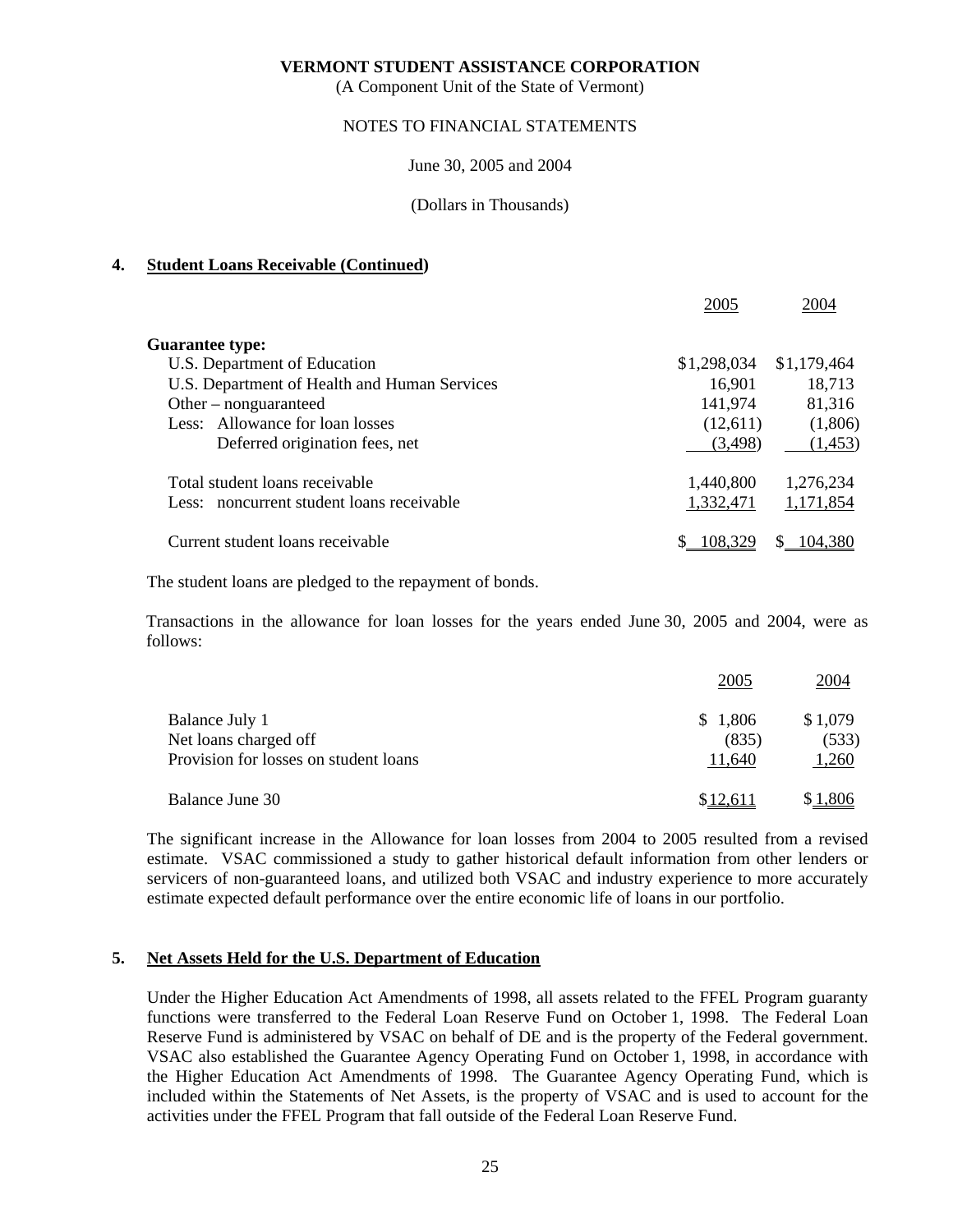(A Component Unit of the State of Vermont)

#### NOTES TO FINANCIAL STATEMENTS

June 30, 2005 and 2004

(Dollars in Thousands)

# **4. Student Loans Receivable (Continued)**

|                                              | 2005        | 2004        |
|----------------------------------------------|-------------|-------------|
| <b>Guarantee type:</b>                       |             |             |
| U.S. Department of Education                 | \$1,298,034 | \$1,179,464 |
| U.S. Department of Health and Human Services | 16,901      | 18,713      |
| Other $-$ nonguaranteed                      | 141,974     | 81,316      |
| Less: Allowance for loan losses              | (12,611)    | (1,806)     |
| Deferred origination fees, net               | (3,498)     | (1, 453)    |
| Total student loans receivable               | 1,440,800   | 1,276,234   |
| Less: noncurrent student loans receivable    | 1,332,471   | 1,171,854   |
| Current student loans receivable             |             | 104.380     |

The student loans are pledged to the repayment of bonds.

 Transactions in the allowance for loan losses for the years ended June 30, 2005 and 2004, were as follows:

|                                       | 2005    | 2004    |
|---------------------------------------|---------|---------|
| Balance July 1                        | \$1,806 | \$1,079 |
| Net loans charged off                 | (835)   | (533)   |
| Provision for losses on student loans | 11,640  | 1,260   |
| Balance June 30                       | \$12.61 | \$1,806 |

 The significant increase in the Allowance for loan losses from 2004 to 2005 resulted from a revised estimate. VSAC commissioned a study to gather historical default information from other lenders or servicers of non-guaranteed loans, and utilized both VSAC and industry experience to more accurately estimate expected default performance over the entire economic life of loans in our portfolio.

# **5. Net Assets Held for the U.S. Department of Education**

 Under the Higher Education Act Amendments of 1998, all assets related to the FFEL Program guaranty functions were transferred to the Federal Loan Reserve Fund on October 1, 1998. The Federal Loan Reserve Fund is administered by VSAC on behalf of DE and is the property of the Federal government. VSAC also established the Guarantee Agency Operating Fund on October 1, 1998, in accordance with the Higher Education Act Amendments of 1998. The Guarantee Agency Operating Fund, which is included within the Statements of Net Assets, is the property of VSAC and is used to account for the activities under the FFEL Program that fall outside of the Federal Loan Reserve Fund.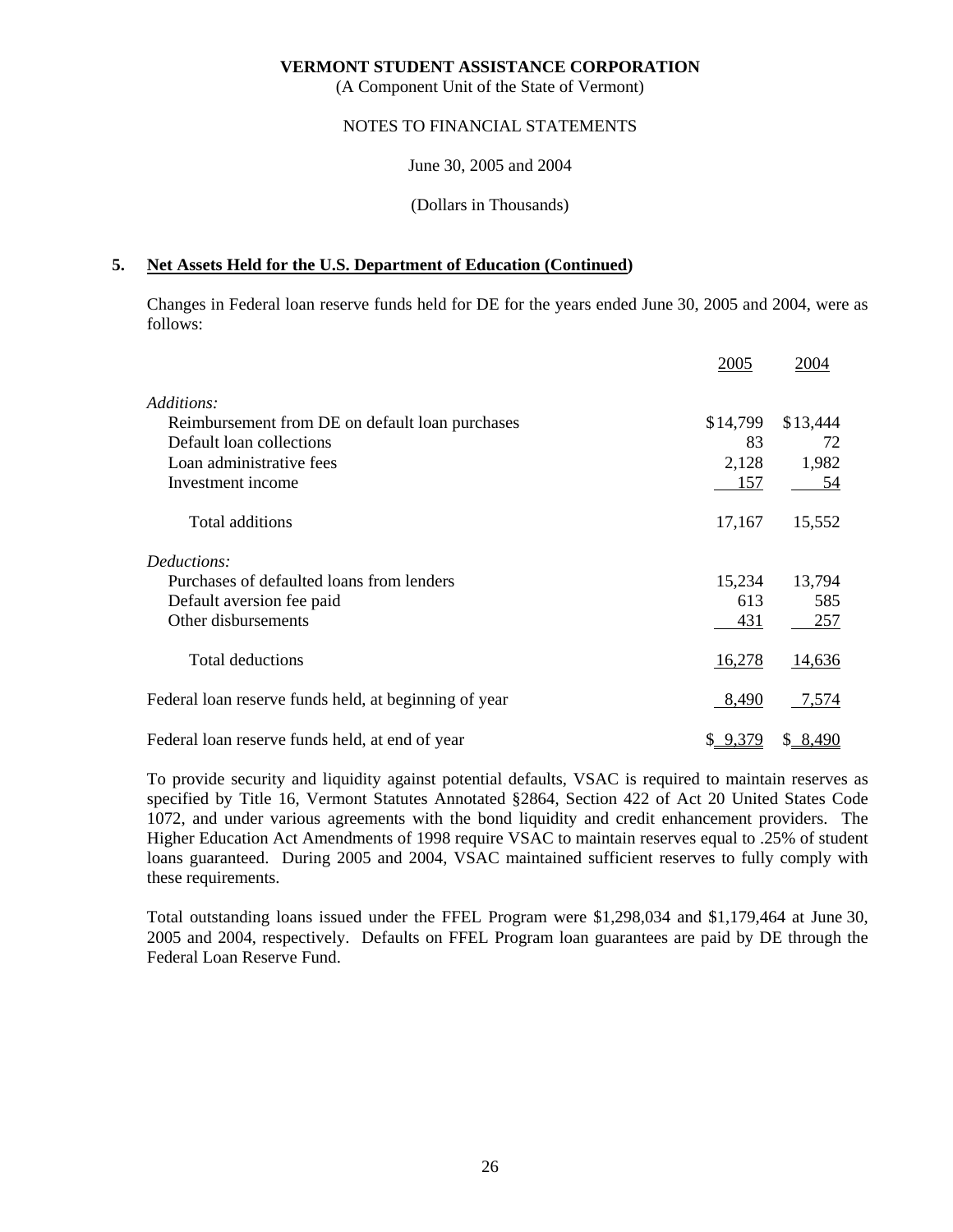(A Component Unit of the State of Vermont)

## NOTES TO FINANCIAL STATEMENTS

June 30, 2005 and 2004

(Dollars in Thousands)

# **5. Net Assets Held for the U.S. Department of Education (Continued)**

 Changes in Federal loan reserve funds held for DE for the years ended June 30, 2005 and 2004, were as follows:

|                                                       | 2005     | 2004     |
|-------------------------------------------------------|----------|----------|
| Additions:                                            |          |          |
| Reimbursement from DE on default loan purchases       | \$14,799 | \$13,444 |
| Default loan collections                              | 83       | 72       |
| Loan administrative fees                              | 2,128    | 1,982    |
| Investment income                                     | 157      | 54       |
| Total additions                                       | 17,167   | 15,552   |
| Deductions:                                           |          |          |
| Purchases of defaulted loans from lenders             | 15,234   | 13,794   |
| Default aversion fee paid                             | 613      | 585      |
| Other disbursements                                   | 431      | 257      |
| <b>Total deductions</b>                               | 16,278   | 14,636   |
| Federal loan reserve funds held, at beginning of year | 8,490    | 7,574    |
| Federal loan reserve funds held, at end of year       | \$9,379  | \$8,490  |

 To provide security and liquidity against potential defaults, VSAC is required to maintain reserves as specified by Title 16, Vermont Statutes Annotated §2864, Section 422 of Act 20 United States Code 1072, and under various agreements with the bond liquidity and credit enhancement providers. The Higher Education Act Amendments of 1998 require VSAC to maintain reserves equal to .25% of student loans guaranteed. During 2005 and 2004, VSAC maintained sufficient reserves to fully comply with these requirements.

 Total outstanding loans issued under the FFEL Program were \$1,298,034 and \$1,179,464 at June 30, 2005 and 2004, respectively. Defaults on FFEL Program loan guarantees are paid by DE through the Federal Loan Reserve Fund.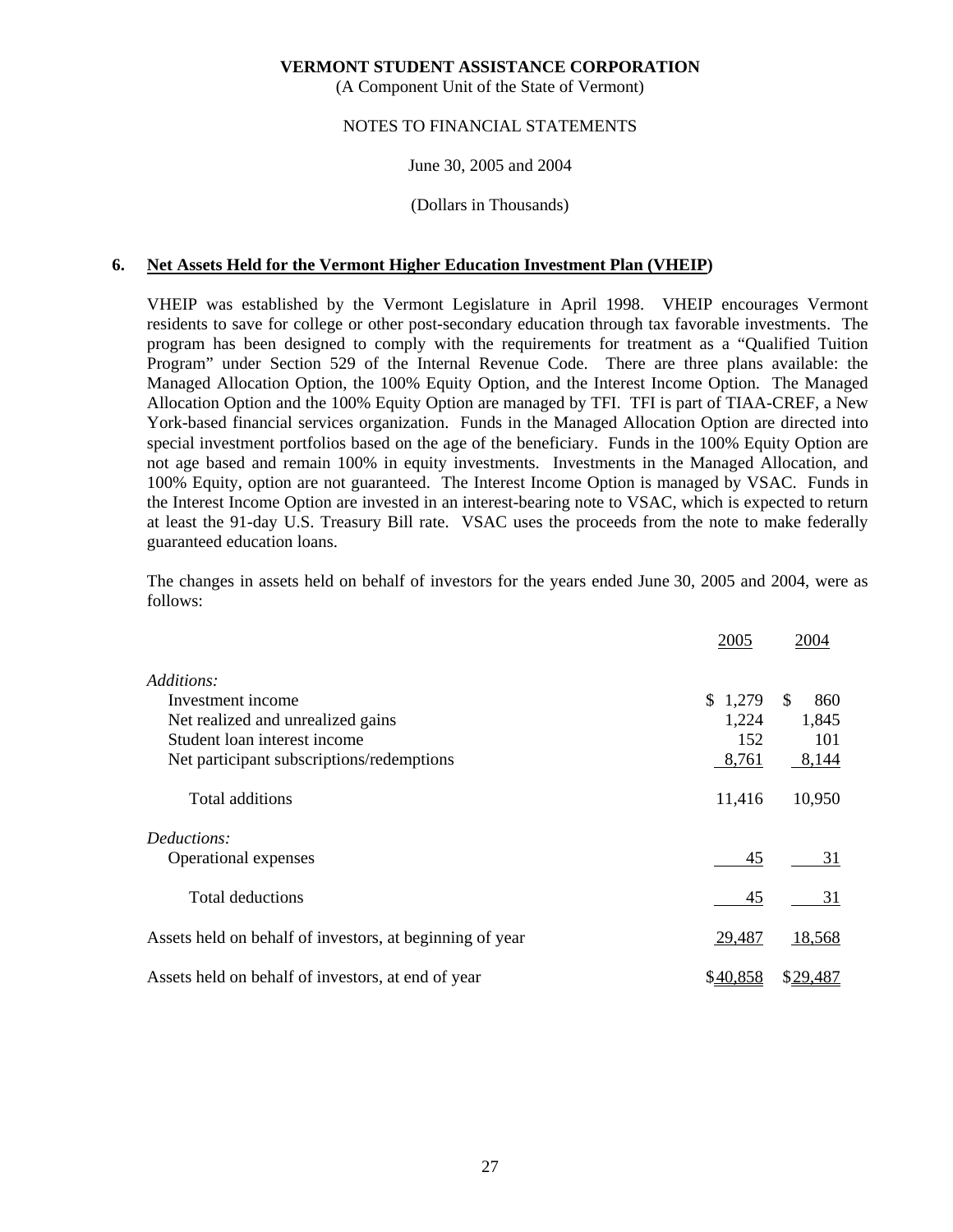(A Component Unit of the State of Vermont)

# NOTES TO FINANCIAL STATEMENTS

# June 30, 2005 and 2004

#### (Dollars in Thousands)

# **6. Net Assets Held for the Vermont Higher Education Investment Plan (VHEIP)**

 VHEIP was established by the Vermont Legislature in April 1998. VHEIP encourages Vermont residents to save for college or other post-secondary education through tax favorable investments. The program has been designed to comply with the requirements for treatment as a "Qualified Tuition Program" under Section 529 of the Internal Revenue Code. There are three plans available: the Managed Allocation Option, the 100% Equity Option, and the Interest Income Option. The Managed Allocation Option and the 100% Equity Option are managed by TFI. TFI is part of TIAA-CREF, a New York-based financial services organization. Funds in the Managed Allocation Option are directed into special investment portfolios based on the age of the beneficiary. Funds in the 100% Equity Option are not age based and remain 100% in equity investments. Investments in the Managed Allocation, and 100% Equity, option are not guaranteed. The Interest Income Option is managed by VSAC. Funds in the Interest Income Option are invested in an interest-bearing note to VSAC, which is expected to return at least the 91-day U.S. Treasury Bill rate. VSAC uses the proceeds from the note to make federally guaranteed education loans.

 The changes in assets held on behalf of investors for the years ended June 30, 2005 and 2004, were as follows:

|                                                          | 2005     | 2004       |
|----------------------------------------------------------|----------|------------|
| Additions:                                               |          |            |
| Investment income                                        | \$1,279  | \$.<br>860 |
| Net realized and unrealized gains                        | 1,224    | 1,845      |
| Student loan interest income                             | 152      | 101        |
| Net participant subscriptions/redemptions                | 8,761    | 8,144      |
| Total additions                                          | 11,416   | 10,950     |
| Deductions:                                              |          |            |
| Operational expenses                                     | 45       | 31         |
| Total deductions                                         | 45       | 31         |
| Assets held on behalf of investors, at beginning of year | 29,487   | 18,568     |
| Assets held on behalf of investors, at end of year       | \$40,858 | \$29,487   |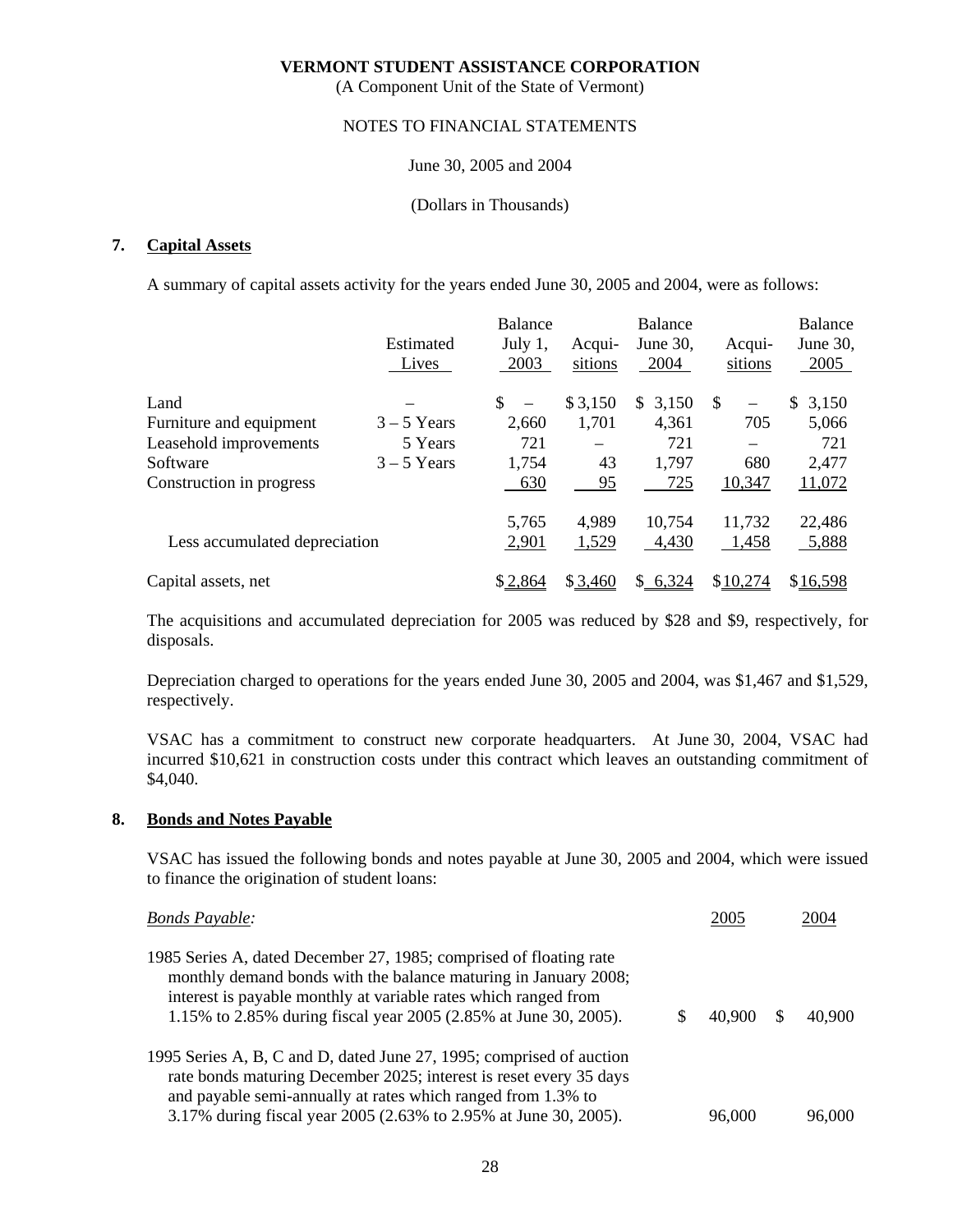(A Component Unit of the State of Vermont)

# NOTES TO FINANCIAL STATEMENTS

June 30, 2005 and 2004

(Dollars in Thousands)

# **7. Capital Assets**

A summary of capital assets activity for the years ended June 30, 2005 and 2004, were as follows:

|                               |               | <b>Balance</b>                 |         | Balance     |                                | <b>Balance</b> |
|-------------------------------|---------------|--------------------------------|---------|-------------|--------------------------------|----------------|
|                               | Estimated     | July $1,$                      | Acqui-  | June $30$ , | Acqui-                         | June 30,       |
|                               | Lives         | 2003                           | sitions | 2004        | sitions                        | 2005           |
| Land                          |               | \$<br>$\overline{\phantom{m}}$ | \$3,150 | 3,150<br>S. | -S<br>$\overline{\phantom{0}}$ | \$<br>3,150    |
| Furniture and equipment       | $3 - 5$ Years | 2.660                          | 1,701   | 4,361       | 705                            | 5,066          |
| Leasehold improvements        | 5 Years       | 721                            |         | 721         |                                | 721            |
| Software                      | $3 - 5$ Years | 1,754                          | 43      | 1,797       | 680                            | 2,477          |
| Construction in progress      |               | 630                            | 95      | 725         | 10,347                         | 11,072         |
|                               |               | 5,765                          | 4,989   | 10,754      | 11,732                         | 22,486         |
| Less accumulated depreciation |               | 2,901                          | 1,529   | 4,430       | 1,458                          | 5,888          |
| Capital assets, net           |               | \$2,864                        | \$3,460 | \$6,324     | \$10,274                       | \$16,598       |

 The acquisitions and accumulated depreciation for 2005 was reduced by \$28 and \$9, respectively, for disposals.

 Depreciation charged to operations for the years ended June 30, 2005 and 2004, was \$1,467 and \$1,529, respectively.

 VSAC has a commitment to construct new corporate headquarters. At June 30, 2004, VSAC had incurred \$10,621 in construction costs under this contract which leaves an outstanding commitment of \$4,040.

# **8. Bonds and Notes Payable**

 VSAC has issued the following bonds and notes payable at June 30, 2005 and 2004, which were issued to finance the origination of student loans:

| <b>Bonds Payable:</b>                                                                                                                                                                                                                                                        | 2005   | 2004   |
|------------------------------------------------------------------------------------------------------------------------------------------------------------------------------------------------------------------------------------------------------------------------------|--------|--------|
| 1985 Series A, dated December 27, 1985; comprised of floating rate<br>monthly demand bonds with the balance maturing in January 2008;<br>interest is payable monthly at variable rates which ranged from<br>1.15% to 2.85% during fiscal year 2005 (2.85% at June 30, 2005). | 40,900 | 40,900 |
| 1995 Series A, B, C and D, dated June 27, 1995; comprised of auction<br>rate bonds maturing December 2025; interest is reset every 35 days<br>and payable semi-annually at rates which ranged from 1.3% to                                                                   |        |        |
| 3.17% during fiscal year 2005 (2.63% to 2.95% at June 30, 2005).                                                                                                                                                                                                             | 96,000 | 96,000 |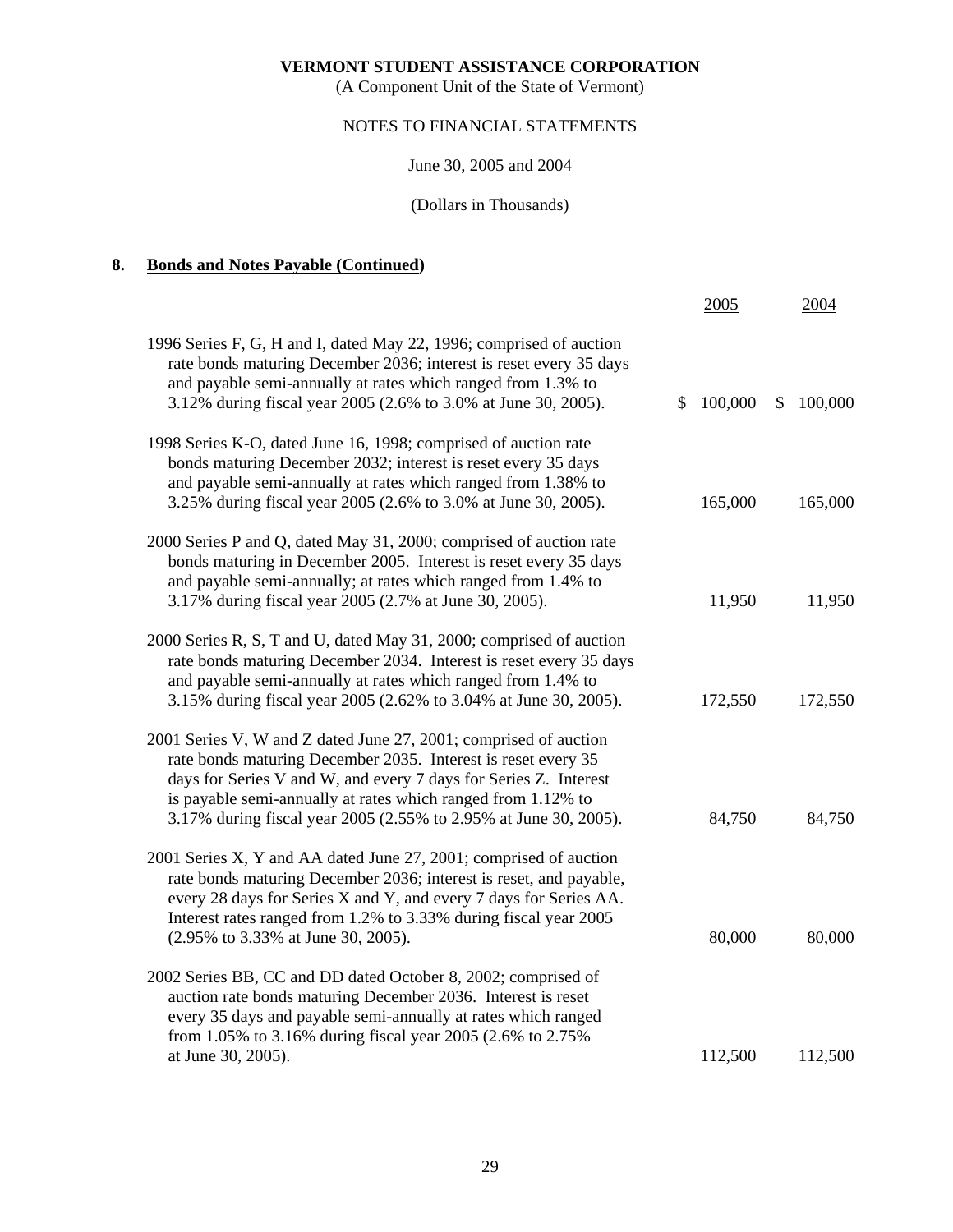(A Component Unit of the State of Vermont)

# NOTES TO FINANCIAL STATEMENTS

June 30, 2005 and 2004

(Dollars in Thousands)

# **8. Bonds and Notes Payable (Continued)**

|                                                                                                                                                                                                                                                                                                                                           | 2005          |              | 2004    |
|-------------------------------------------------------------------------------------------------------------------------------------------------------------------------------------------------------------------------------------------------------------------------------------------------------------------------------------------|---------------|--------------|---------|
| 1996 Series F, G, H and I, dated May 22, 1996; comprised of auction<br>rate bonds maturing December 2036; interest is reset every 35 days<br>and payable semi-annually at rates which ranged from 1.3% to<br>3.12% during fiscal year 2005 (2.6% to 3.0% at June 30, 2005).                                                               | \$<br>100,000 | $\mathbb{S}$ | 100,000 |
| 1998 Series K-O, dated June 16, 1998; comprised of auction rate<br>bonds maturing December 2032; interest is reset every 35 days<br>and payable semi-annually at rates which ranged from 1.38% to<br>3.25% during fiscal year 2005 (2.6% to 3.0% at June 30, 2005).                                                                       | 165,000       |              | 165,000 |
| 2000 Series P and Q, dated May 31, 2000; comprised of auction rate<br>bonds maturing in December 2005. Interest is reset every 35 days<br>and payable semi-annually; at rates which ranged from 1.4% to<br>3.17% during fiscal year 2005 (2.7% at June 30, 2005).                                                                         | 11,950        |              | 11,950  |
| 2000 Series R, S, T and U, dated May 31, 2000; comprised of auction<br>rate bonds maturing December 2034. Interest is reset every 35 days<br>and payable semi-annually at rates which ranged from 1.4% to<br>3.15% during fiscal year 2005 (2.62% to 3.04% at June 30, 2005).                                                             | 172,550       |              | 172,550 |
| 2001 Series V, W and Z dated June 27, 2001; comprised of auction<br>rate bonds maturing December 2035. Interest is reset every 35<br>days for Series V and W, and every 7 days for Series Z. Interest<br>is payable semi-annually at rates which ranged from 1.12% to<br>3.17% during fiscal year 2005 (2.55% to 2.95% at June 30, 2005). | 84,750        |              | 84,750  |
| 2001 Series X, Y and AA dated June 27, 2001; comprised of auction<br>rate bonds maturing December 2036; interest is reset, and payable,<br>every 28 days for Series X and Y, and every 7 days for Series AA.<br>Interest rates ranged from 1.2% to 3.33% during fiscal year 2005<br>(2.95% to 3.33% at June 30, 2005).                    | 80,000        |              | 80,000  |
| 2002 Series BB, CC and DD dated October 8, 2002; comprised of<br>auction rate bonds maturing December 2036. Interest is reset<br>every 35 days and payable semi-annually at rates which ranged<br>from 1.05% to 3.16% during fiscal year 2005 (2.6% to 2.75%                                                                              |               |              |         |
| at June 30, 2005).                                                                                                                                                                                                                                                                                                                        | 112,500       |              | 112,500 |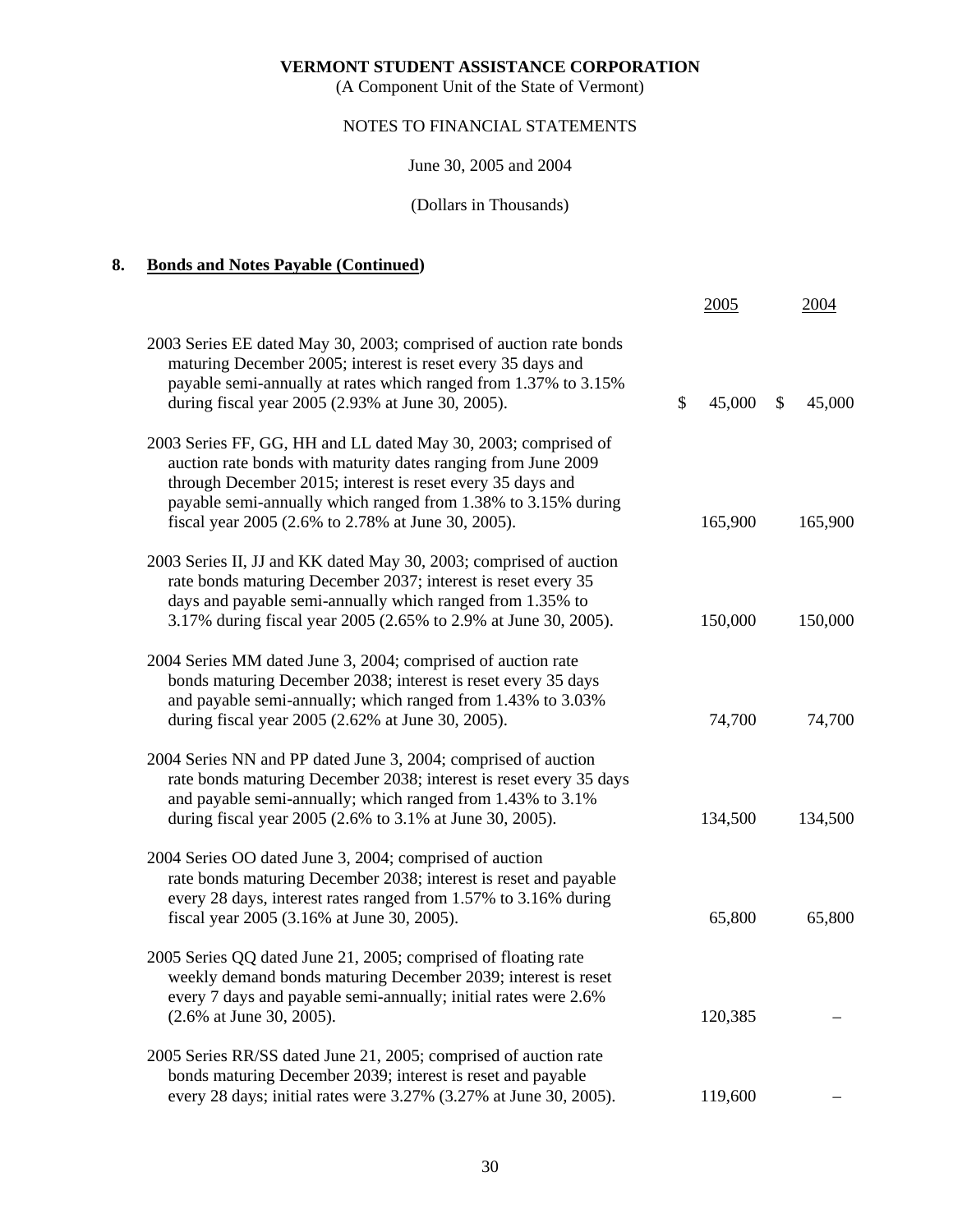(A Component Unit of the State of Vermont)

# NOTES TO FINANCIAL STATEMENTS

June 30, 2005 and 2004

# (Dollars in Thousands)

# **8. Bonds and Notes Payable (Continued)**

|                                                                                                                                                                                                                                                                                                                      | 2005         | 2004         |
|----------------------------------------------------------------------------------------------------------------------------------------------------------------------------------------------------------------------------------------------------------------------------------------------------------------------|--------------|--------------|
| 2003 Series EE dated May 30, 2003; comprised of auction rate bonds<br>maturing December 2005; interest is reset every 35 days and<br>payable semi-annually at rates which ranged from 1.37% to 3.15%<br>during fiscal year 2005 (2.93% at June 30, 2005).                                                            | \$<br>45,000 | \$<br>45,000 |
| 2003 Series FF, GG, HH and LL dated May 30, 2003; comprised of<br>auction rate bonds with maturity dates ranging from June 2009<br>through December 2015; interest is reset every 35 days and<br>payable semi-annually which ranged from 1.38% to 3.15% during<br>fiscal year 2005 (2.6% to 2.78% at June 30, 2005). | 165,900      | 165,900      |
| 2003 Series II, JJ and KK dated May 30, 2003; comprised of auction<br>rate bonds maturing December 2037; interest is reset every 35<br>days and payable semi-annually which ranged from 1.35% to<br>3.17% during fiscal year 2005 (2.65% to 2.9% at June 30, 2005).                                                  | 150,000      | 150,000      |
| 2004 Series MM dated June 3, 2004; comprised of auction rate<br>bonds maturing December 2038; interest is reset every 35 days<br>and payable semi-annually; which ranged from 1.43% to 3.03%<br>during fiscal year 2005 (2.62% at June 30, 2005).                                                                    | 74,700       | 74,700       |
| 2004 Series NN and PP dated June 3, 2004; comprised of auction<br>rate bonds maturing December 2038; interest is reset every 35 days<br>and payable semi-annually; which ranged from 1.43% to 3.1%<br>during fiscal year 2005 (2.6% to 3.1% at June 30, 2005).                                                       | 134,500      | 134,500      |
| 2004 Series OO dated June 3, 2004; comprised of auction<br>rate bonds maturing December 2038; interest is reset and payable<br>every 28 days, interest rates ranged from 1.57% to 3.16% during<br>fiscal year 2005 (3.16% at June 30, 2005).                                                                         | 65,800       | 65,800       |
| 2005 Series QQ dated June 21, 2005; comprised of floating rate<br>weekly demand bonds maturing December 2039; interest is reset<br>every 7 days and payable semi-annually; initial rates were 2.6%<br>(2.6% at June 30, 2005).                                                                                       | 120,385      |              |
| 2005 Series RR/SS dated June 21, 2005; comprised of auction rate<br>bonds maturing December 2039; interest is reset and payable<br>every 28 days; initial rates were 3.27% (3.27% at June 30, 2005).                                                                                                                 | 119,600      |              |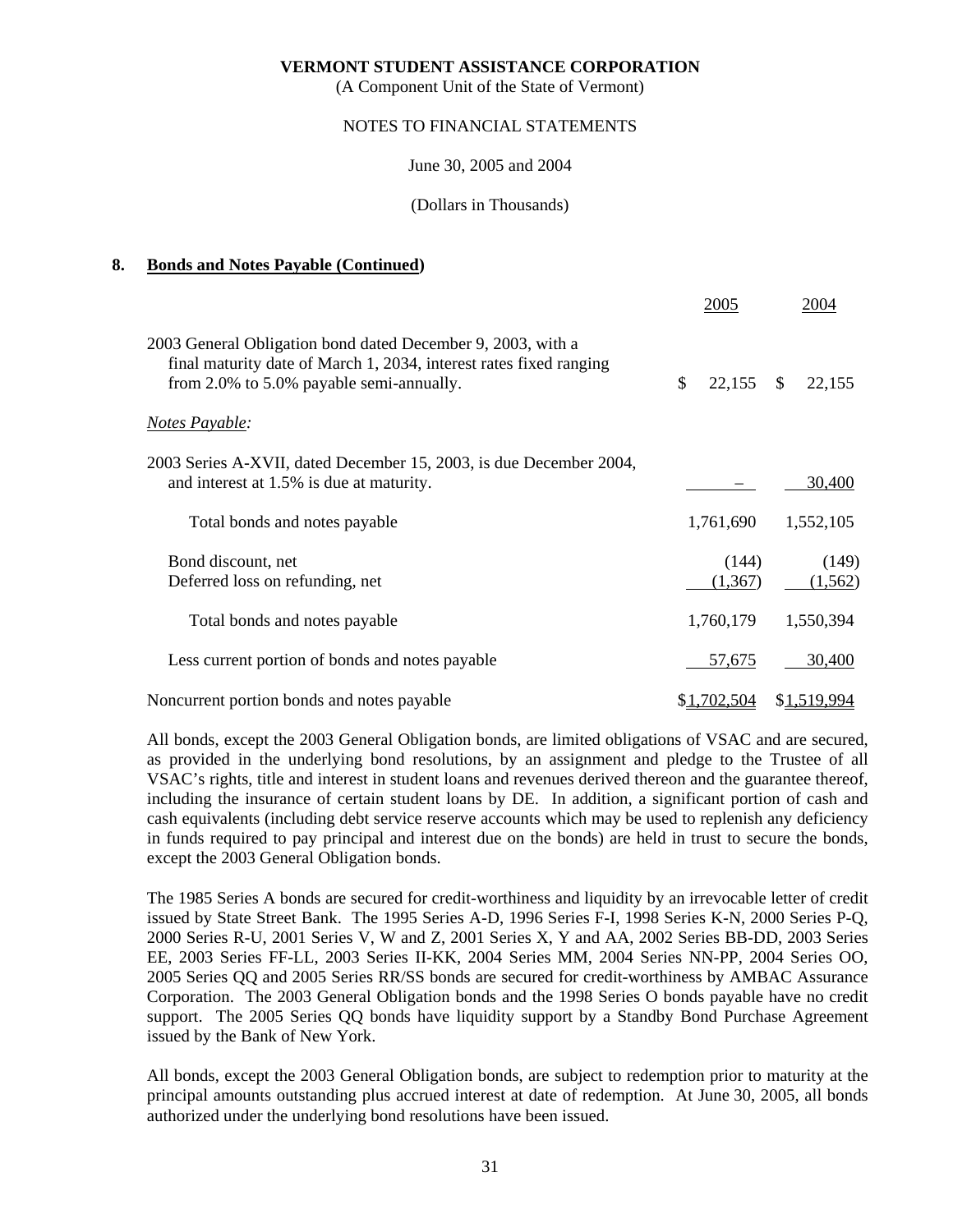(A Component Unit of the State of Vermont)

## NOTES TO FINANCIAL STATEMENTS

June 30, 2005 and 2004

(Dollars in Thousands)

# **8. Bonds and Notes Payable (Continued)**

|                                                                                                                                                                               | 2005              | 2004              |
|-------------------------------------------------------------------------------------------------------------------------------------------------------------------------------|-------------------|-------------------|
| 2003 General Obligation bond dated December 9, 2003, with a<br>final maturity date of March 1, 2034, interest rates fixed ranging<br>from 2.0% to 5.0% payable semi-annually. | \$<br>22,155      | \$<br>22,155      |
| <b>Notes Payable:</b>                                                                                                                                                         |                   |                   |
| 2003 Series A-XVII, dated December 15, 2003, is due December 2004,<br>and interest at 1.5% is due at maturity.                                                                |                   | 30,400            |
| Total bonds and notes payable                                                                                                                                                 | 1,761,690         | 1,552,105         |
| Bond discount, net<br>Deferred loss on refunding, net                                                                                                                         | (144)<br>(1, 367) | (149)<br>(1, 562) |
| Total bonds and notes payable                                                                                                                                                 | 1,760,179         | 1,550,394         |
| Less current portion of bonds and notes payable                                                                                                                               | 57,675            | 30,400            |
| Noncurrent portion bonds and notes payable                                                                                                                                    | \$1,702,504       | \$1,519,994       |

 All bonds, except the 2003 General Obligation bonds, are limited obligations of VSAC and are secured, as provided in the underlying bond resolutions, by an assignment and pledge to the Trustee of all VSAC's rights, title and interest in student loans and revenues derived thereon and the guarantee thereof, including the insurance of certain student loans by DE. In addition, a significant portion of cash and cash equivalents (including debt service reserve accounts which may be used to replenish any deficiency in funds required to pay principal and interest due on the bonds) are held in trust to secure the bonds, except the 2003 General Obligation bonds.

 The 1985 Series A bonds are secured for credit-worthiness and liquidity by an irrevocable letter of credit issued by State Street Bank. The 1995 Series A-D, 1996 Series F-I, 1998 Series K-N, 2000 Series P-Q, 2000 Series R-U, 2001 Series V, W and Z, 2001 Series X, Y and AA, 2002 Series BB-DD, 2003 Series EE, 2003 Series FF-LL, 2003 Series II-KK, 2004 Series MM, 2004 Series NN-PP, 2004 Series OO, 2005 Series QQ and 2005 Series RR/SS bonds are secured for credit-worthiness by AMBAC Assurance Corporation. The 2003 General Obligation bonds and the 1998 Series O bonds payable have no credit support. The 2005 Series QQ bonds have liquidity support by a Standby Bond Purchase Agreement issued by the Bank of New York.

 All bonds, except the 2003 General Obligation bonds, are subject to redemption prior to maturity at the principal amounts outstanding plus accrued interest at date of redemption. At June 30, 2005, all bonds authorized under the underlying bond resolutions have been issued.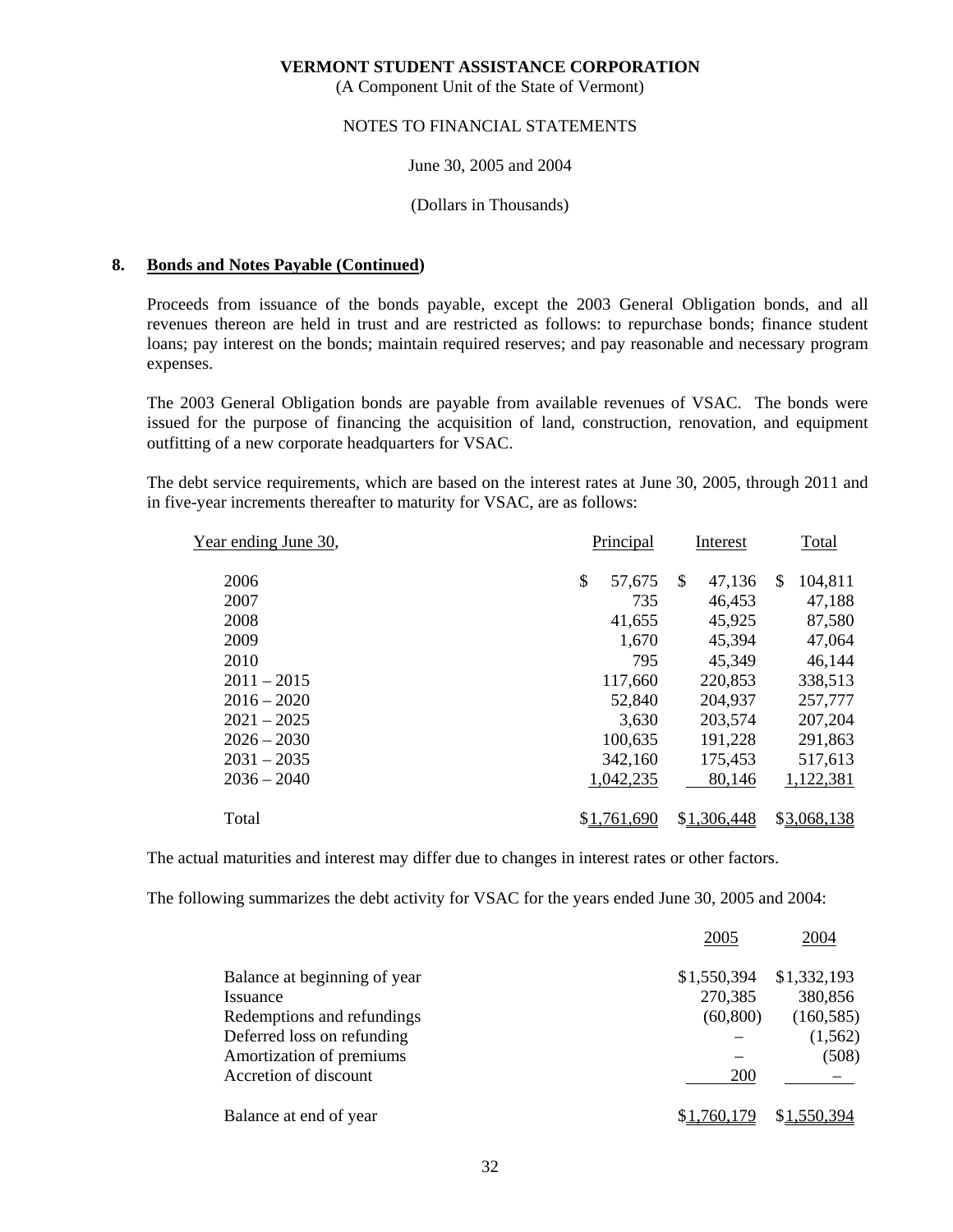(A Component Unit of the State of Vermont)

#### NOTES TO FINANCIAL STATEMENTS

#### June 30, 2005 and 2004

# (Dollars in Thousands)

#### **8. Bonds and Notes Payable (Continued)**

 Proceeds from issuance of the bonds payable, except the 2003 General Obligation bonds, and all revenues thereon are held in trust and are restricted as follows: to repurchase bonds; finance student loans; pay interest on the bonds; maintain required reserves; and pay reasonable and necessary program expenses.

 The 2003 General Obligation bonds are payable from available revenues of VSAC. The bonds were issued for the purpose of financing the acquisition of land, construction, renovation, and equipment outfitting of a new corporate headquarters for VSAC.

 The debt service requirements, which are based on the interest rates at June 30, 2005, through 2011 and in five-year increments thereafter to maturity for VSAC, are as follows:

| Year ending June 30, | Principal    | Interest      | Total                    |  |
|----------------------|--------------|---------------|--------------------------|--|
| 2006                 | \$<br>57,675 | \$.<br>47,136 | 104,811<br><sup>\$</sup> |  |
| 2007                 | 735          | 46,453        | 47,188                   |  |
| 2008                 | 41,655       | 45,925        | 87,580                   |  |
| 2009                 | 1,670        | 45,394        | 47,064                   |  |
| 2010                 | 795          | 45,349        | 46,144                   |  |
| $2011 - 2015$        | 117,660      | 220,853       | 338,513                  |  |
| $2016 - 2020$        | 52,840       | 204,937       | 257,777                  |  |
| $2021 - 2025$        | 3,630        | 203,574       | 207,204                  |  |
| $2026 - 2030$        | 100,635      | 191,228       | 291,863                  |  |
| $2031 - 2035$        | 342,160      | 175,453       | 517,613                  |  |
| $2036 - 2040$        | 1,042,235    | 80,146        | 1,122,381                |  |
| Total                | \$1,761,690  | \$1,306,448   | \$3,068,138              |  |
|                      |              |               |                          |  |

The actual maturities and interest may differ due to changes in interest rates or other factors.

The following summarizes the debt activity for VSAC for the years ended June 30, 2005 and 2004:

|                              | 2005        | 2004        |
|------------------------------|-------------|-------------|
| Balance at beginning of year | \$1,550,394 | \$1,332,193 |
| Issuance                     | 270,385     | 380,856     |
| Redemptions and refundings   | (60, 800)   | (160, 585)  |
| Deferred loss on refunding   |             | (1, 562)    |
| Amortization of premiums     |             | (508)       |
| Accretion of discount        | 200         |             |
| Balance at end of year       | \$1,760,179 | \$1,550,394 |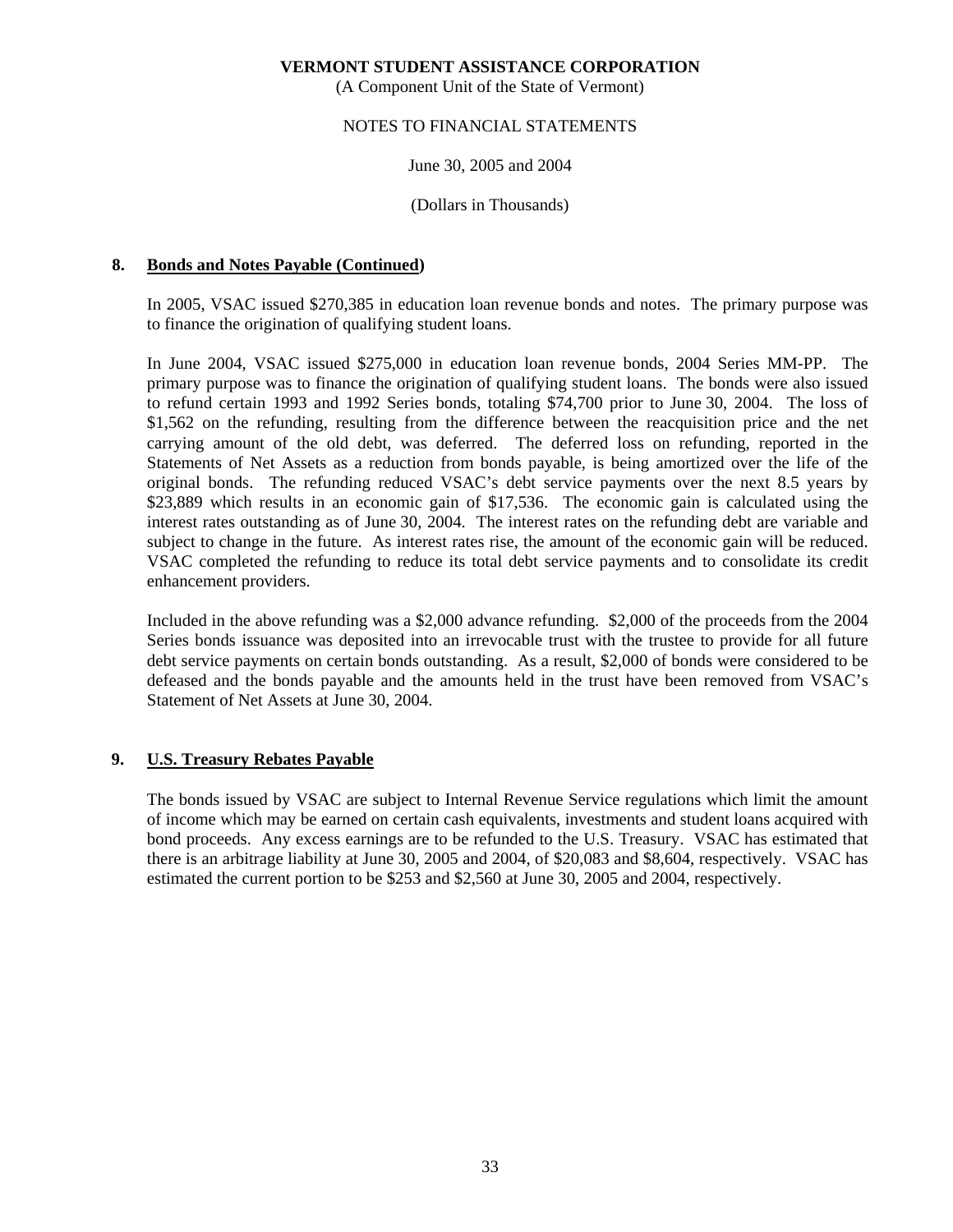(A Component Unit of the State of Vermont)

## NOTES TO FINANCIAL STATEMENTS

June 30, 2005 and 2004

(Dollars in Thousands)

# **8. Bonds and Notes Payable (Continued)**

 In 2005, VSAC issued \$270,385 in education loan revenue bonds and notes. The primary purpose was to finance the origination of qualifying student loans.

 In June 2004, VSAC issued \$275,000 in education loan revenue bonds, 2004 Series MM-PP. The primary purpose was to finance the origination of qualifying student loans. The bonds were also issued to refund certain 1993 and 1992 Series bonds, totaling \$74,700 prior to June 30, 2004. The loss of \$1,562 on the refunding, resulting from the difference between the reacquisition price and the net carrying amount of the old debt, was deferred. The deferred loss on refunding, reported in the Statements of Net Assets as a reduction from bonds payable, is being amortized over the life of the original bonds. The refunding reduced VSAC's debt service payments over the next 8.5 years by \$23,889 which results in an economic gain of \$17,536. The economic gain is calculated using the interest rates outstanding as of June 30, 2004. The interest rates on the refunding debt are variable and subject to change in the future. As interest rates rise, the amount of the economic gain will be reduced. VSAC completed the refunding to reduce its total debt service payments and to consolidate its credit enhancement providers.

 Included in the above refunding was a \$2,000 advance refunding. \$2,000 of the proceeds from the 2004 Series bonds issuance was deposited into an irrevocable trust with the trustee to provide for all future debt service payments on certain bonds outstanding. As a result, \$2,000 of bonds were considered to be defeased and the bonds payable and the amounts held in the trust have been removed from VSAC's Statement of Net Assets at June 30, 2004.

# **9. U.S. Treasury Rebates Payable**

 The bonds issued by VSAC are subject to Internal Revenue Service regulations which limit the amount of income which may be earned on certain cash equivalents, investments and student loans acquired with bond proceeds. Any excess earnings are to be refunded to the U.S. Treasury. VSAC has estimated that there is an arbitrage liability at June 30, 2005 and 2004, of \$20,083 and \$8,604, respectively. VSAC has estimated the current portion to be \$253 and \$2,560 at June 30, 2005 and 2004, respectively.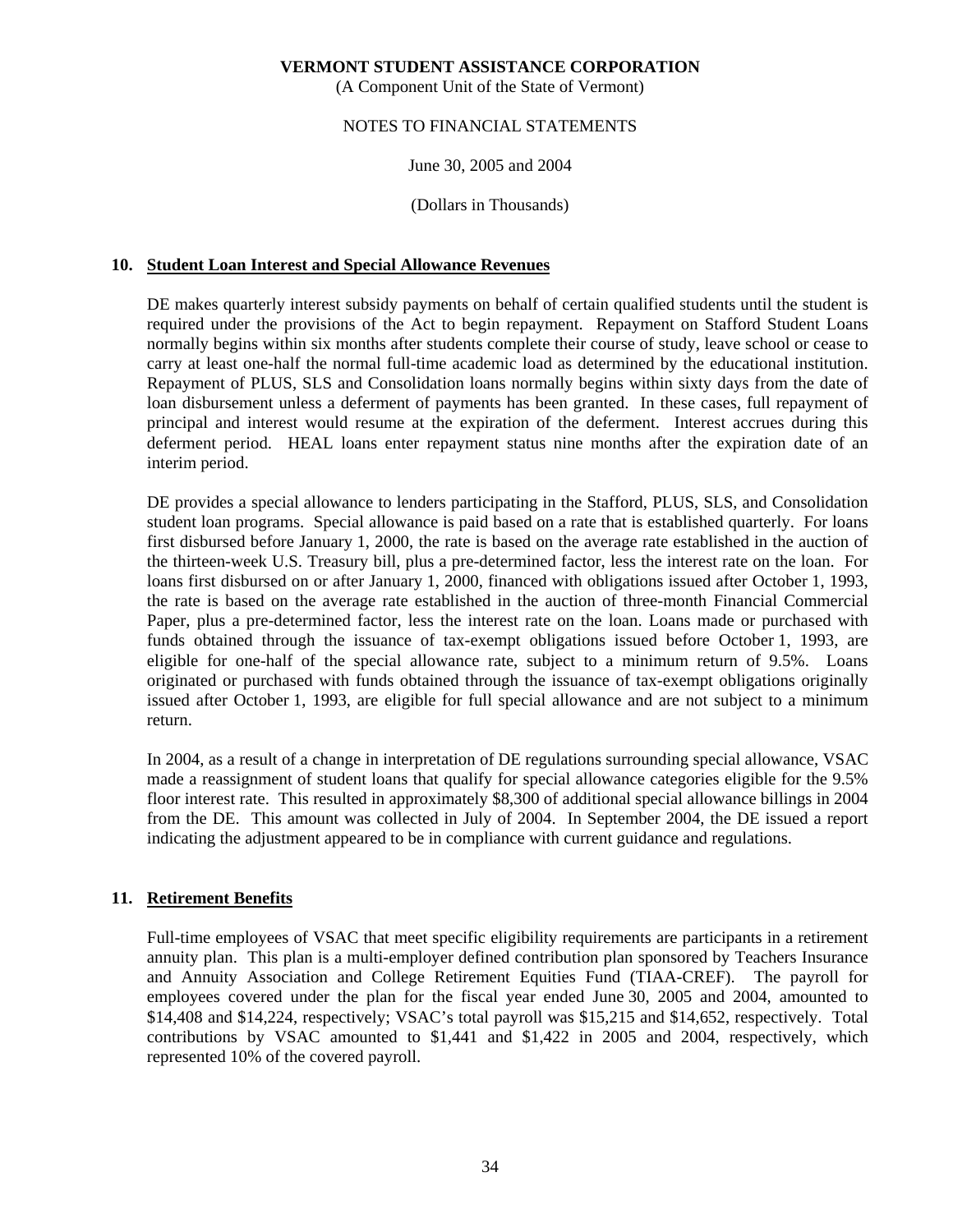(A Component Unit of the State of Vermont)

# NOTES TO FINANCIAL STATEMENTS

June 30, 2005 and 2004

(Dollars in Thousands)

# **10. Student Loan Interest and Special Allowance Revenues**

 DE makes quarterly interest subsidy payments on behalf of certain qualified students until the student is required under the provisions of the Act to begin repayment. Repayment on Stafford Student Loans normally begins within six months after students complete their course of study, leave school or cease to carry at least one-half the normal full-time academic load as determined by the educational institution. Repayment of PLUS, SLS and Consolidation loans normally begins within sixty days from the date of loan disbursement unless a deferment of payments has been granted. In these cases, full repayment of principal and interest would resume at the expiration of the deferment. Interest accrues during this deferment period. HEAL loans enter repayment status nine months after the expiration date of an interim period.

 DE provides a special allowance to lenders participating in the Stafford, PLUS, SLS, and Consolidation student loan programs. Special allowance is paid based on a rate that is established quarterly. For loans first disbursed before January 1, 2000, the rate is based on the average rate established in the auction of the thirteen-week U.S. Treasury bill, plus a pre-determined factor, less the interest rate on the loan. For loans first disbursed on or after January 1, 2000, financed with obligations issued after October 1, 1993, the rate is based on the average rate established in the auction of three-month Financial Commercial Paper, plus a pre-determined factor, less the interest rate on the loan. Loans made or purchased with funds obtained through the issuance of tax-exempt obligations issued before October 1, 1993, are eligible for one-half of the special allowance rate, subject to a minimum return of 9.5%. Loans originated or purchased with funds obtained through the issuance of tax-exempt obligations originally issued after October 1, 1993, are eligible for full special allowance and are not subject to a minimum return.

 In 2004, as a result of a change in interpretation of DE regulations surrounding special allowance, VSAC made a reassignment of student loans that qualify for special allowance categories eligible for the 9.5% floor interest rate. This resulted in approximately \$8,300 of additional special allowance billings in 2004 from the DE. This amount was collected in July of 2004. In September 2004, the DE issued a report indicating the adjustment appeared to be in compliance with current guidance and regulations.

# **11. Retirement Benefits**

 Full-time employees of VSAC that meet specific eligibility requirements are participants in a retirement annuity plan. This plan is a multi-employer defined contribution plan sponsored by Teachers Insurance and Annuity Association and College Retirement Equities Fund (TIAA-CREF). The payroll for employees covered under the plan for the fiscal year ended June 30, 2005 and 2004, amounted to \$14,408 and \$14,224, respectively; VSAC's total payroll was \$15,215 and \$14,652, respectively. Total contributions by VSAC amounted to \$1,441 and \$1,422 in 2005 and 2004, respectively, which represented 10% of the covered payroll.